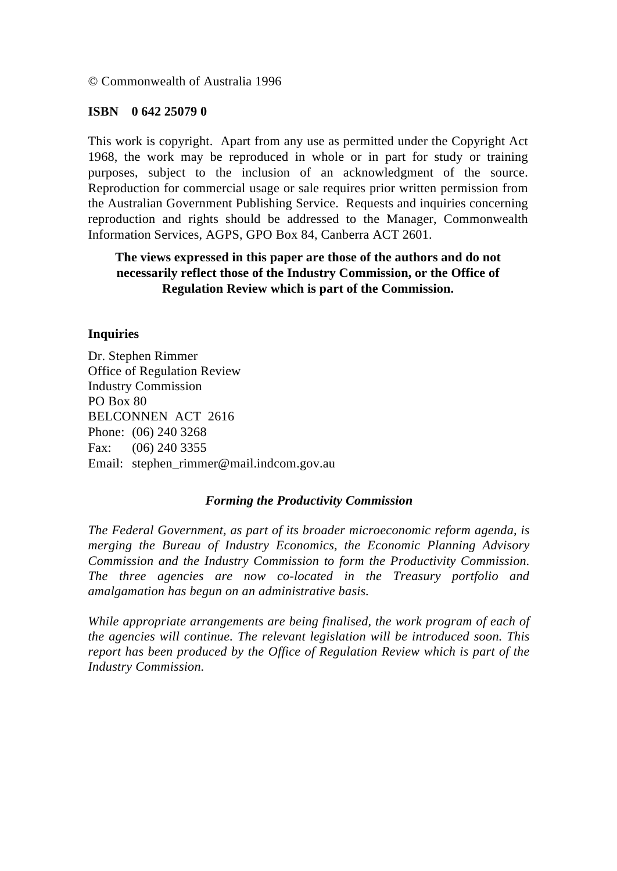© Commonwealth of Australia 1996

#### **ISBN 0 642 25079 0**

This work is copyright. Apart from any use as permitted under the Copyright Act 1968, the work may be reproduced in whole or in part for study or training purposes, subject to the inclusion of an acknowledgment of the source. Reproduction for commercial usage or sale requires prior written permission from the Australian Government Publishing Service. Requests and inquiries concerning reproduction and rights should be addressed to the Manager, Commonwealth Information Services, AGPS, GPO Box 84, Canberra ACT 2601.

### **The views expressed in this paper are those of the authors and do not necessarily reflect those of the Industry Commission, or the Office of Regulation Review which is part of the Commission.**

#### **Inquiries**

Dr. Stephen Rimmer Office of Regulation Review Industry Commission PO Box 80 BELCONNEN ACT 2616 Phone: (06) 240 3268 Fax: (06) 240 3355 Email: stephen\_rimmer@mail.indcom.gov.au

#### *Forming the Productivity Commission*

*The Federal Government, as part of its broader microeconomic reform agenda, is merging the Bureau of Industry Economics, the Economic Planning Advisory Commission and the Industry Commission to form the Productivity Commission. The three agencies are now co-located in the Treasury portfolio and amalgamation has begun on an administrative basis.*

*While appropriate arrangements are being finalised, the work program of each of the agencies will continue. The relevant legislation will be introduced soon. This report has been produced by the Office of Regulation Review which is part of the Industry Commission.*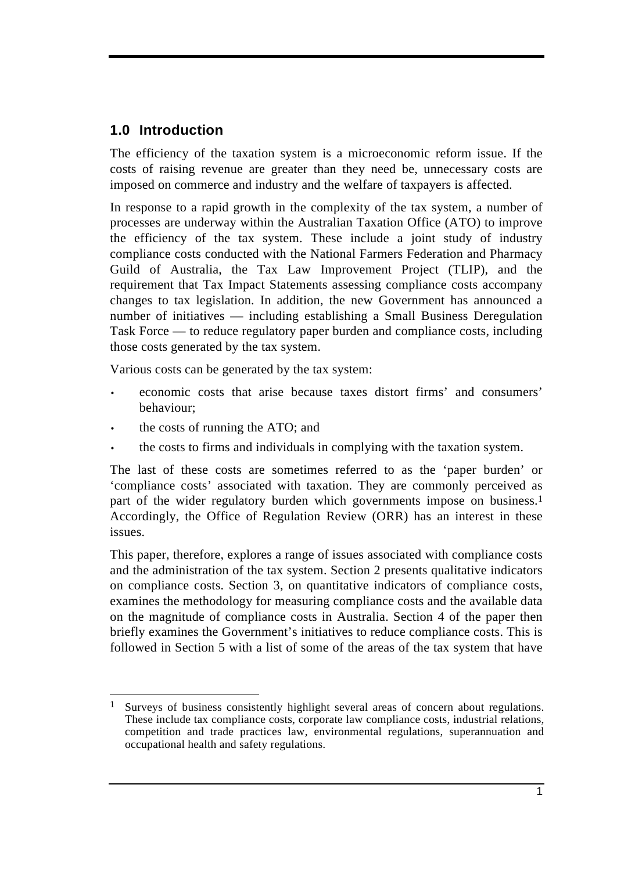# **1.0 Introduction**

The efficiency of the taxation system is a microeconomic reform issue. If the costs of raising revenue are greater than they need be, unnecessary costs are imposed on commerce and industry and the welfare of taxpayers is affected.

In response to a rapid growth in the complexity of the tax system, a number of processes are underway within the Australian Taxation Office (ATO) to improve the efficiency of the tax system. These include a joint study of industry compliance costs conducted with the National Farmers Federation and Pharmacy Guild of Australia, the Tax Law Improvement Project (TLIP), and the requirement that Tax Impact Statements assessing compliance costs accompany changes to tax legislation. In addition, the new Government has announced a number of initiatives — including establishing a Small Business Deregulation Task Force — to reduce regulatory paper burden and compliance costs, including those costs generated by the tax system.

Various costs can be generated by the tax system:

- economic costs that arise because taxes distort firms' and consumers' behaviour;
- the costs of running the ATO; and
- the costs to firms and individuals in complying with the taxation system.

The last of these costs are sometimes referred to as the 'paper burden' or 'compliance costs' associated with taxation. They are commonly perceived as part of the wider regulatory burden which governments impose on business.<sup>1</sup> Accordingly, the Office of Regulation Review (ORR) has an interest in these issues.

This paper, therefore, explores a range of issues associated with compliance costs and the administration of the tax system. Section 2 presents qualitative indicators on compliance costs. Section 3, on quantitative indicators of compliance costs, examines the methodology for measuring compliance costs and the available data on the magnitude of compliance costs in Australia. Section 4 of the paper then briefly examines the Government's initiatives to reduce compliance costs. This is followed in Section 5 with a list of some of the areas of the tax system that have

 $\overline{a}$ Surveys of business consistently highlight several areas of concern about regulations. These include tax compliance costs, corporate law compliance costs, industrial relations, competition and trade practices law, environmental regulations, superannuation and occupational health and safety regulations.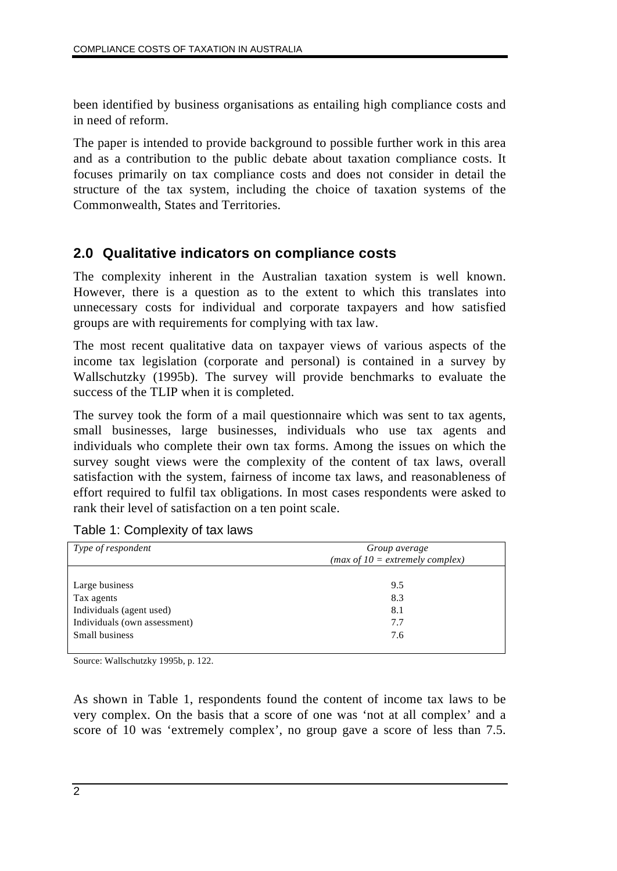been identified by business organisations as entailing high compliance costs and in need of reform.

The paper is intended to provide background to possible further work in this area and as a contribution to the public debate about taxation compliance costs. It focuses primarily on tax compliance costs and does not consider in detail the structure of the tax system, including the choice of taxation systems of the Commonwealth, States and Territories.

# **2.0 Qualitative indicators on compliance costs**

The complexity inherent in the Australian taxation system is well known. However, there is a question as to the extent to which this translates into unnecessary costs for individual and corporate taxpayers and how satisfied groups are with requirements for complying with tax law.

The most recent qualitative data on taxpayer views of various aspects of the income tax legislation (corporate and personal) is contained in a survey by Wallschutzky (1995b). The survey will provide benchmarks to evaluate the success of the TLIP when it is completed.

The survey took the form of a mail questionnaire which was sent to tax agents, small businesses, large businesses, individuals who use tax agents and individuals who complete their own tax forms. Among the issues on which the survey sought views were the complexity of the content of tax laws, overall satisfaction with the system, fairness of income tax laws, and reasonableness of effort required to fulfil tax obligations. In most cases respondents were asked to rank their level of satisfaction on a ten point scale.

| Group average<br>( <i>max of 10</i> = <i>extremely complex</i> ) |  |
|------------------------------------------------------------------|--|
| 9.5<br>8.3<br>8.1<br>7.7<br>7.6                                  |  |
|                                                                  |  |

Table 1: Complexity of tax laws

Source: Wallschutzky 1995b, p. 122.

As shown in Table 1, respondents found the content of income tax laws to be very complex. On the basis that a score of one was 'not at all complex' and a score of 10 was 'extremely complex', no group gave a score of less than 7.5.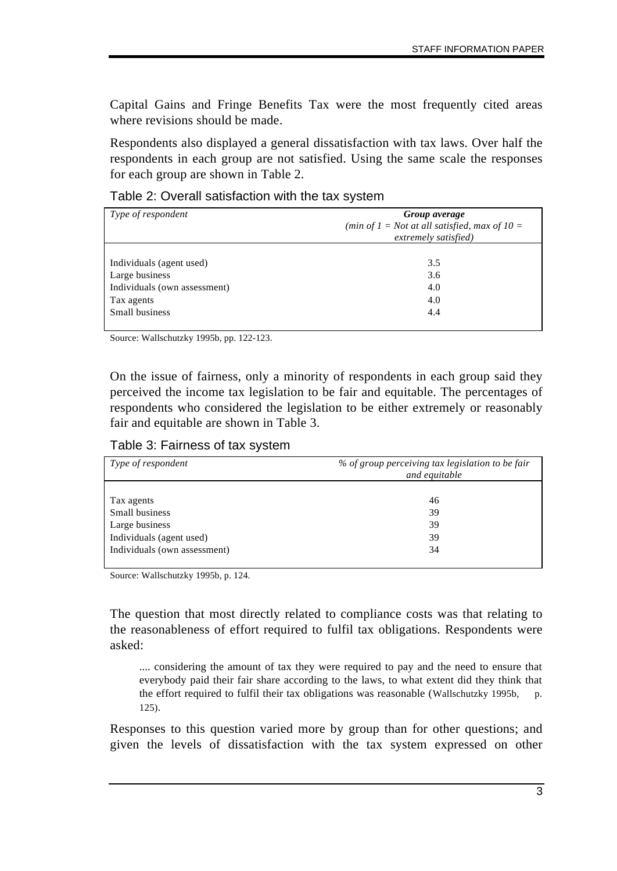Capital Gains and Fringe Benefits Tax were the most frequently cited areas where revisions should be made.

Respondents also displayed a general dissatisfaction with tax laws. Over half the respondents in each group are not satisfied. Using the same scale the responses for each group are shown in Table 2.

Table 2: Overall satisfaction with the tax system

| Type of respondent           | Group average<br>(min of $I = Not$ at all satisfied, max of $I0 =$<br>extremely satisfied) |
|------------------------------|--------------------------------------------------------------------------------------------|
| Individuals (agent used)     | 3.5                                                                                        |
| Large business               | 3.6                                                                                        |
| Individuals (own assessment) | 4.0                                                                                        |
| Tax agents                   | 4.0                                                                                        |
| Small business               | 4.4                                                                                        |

Source: Wallschutzky 1995b, pp. 122-123.

On the issue of fairness, only a minority of respondents in each group said they perceived the income tax legislation to be fair and equitable. The percentages of respondents who considered the legislation to be either extremely or reasonably fair and equitable are shown in Table 3.

Table 3: Fairness of tax system

| Type of respondent           | % of group perceiving tax legislation to be fair<br>and equitable |
|------------------------------|-------------------------------------------------------------------|
| Tax agents                   | 46                                                                |
| Small business               | 39                                                                |
| Large business               | 39                                                                |
| Individuals (agent used)     | 39                                                                |
| Individuals (own assessment) | 34                                                                |

Source: Wallschutzky 1995b, p. 124.

The question that most directly related to compliance costs was that relating to the reasonableness of effort required to fulfil tax obligations. Respondents were asked:

.... considering the amount of tax they were required to pay and the need to ensure that everybody paid their fair share according to the laws, to what extent did they think that the effort required to fulfil their tax obligations was reasonable (Wallschutzky 1995b, p. 125).

Responses to this question varied more by group than for other questions; and given the levels of dissatisfaction with the tax system expressed on other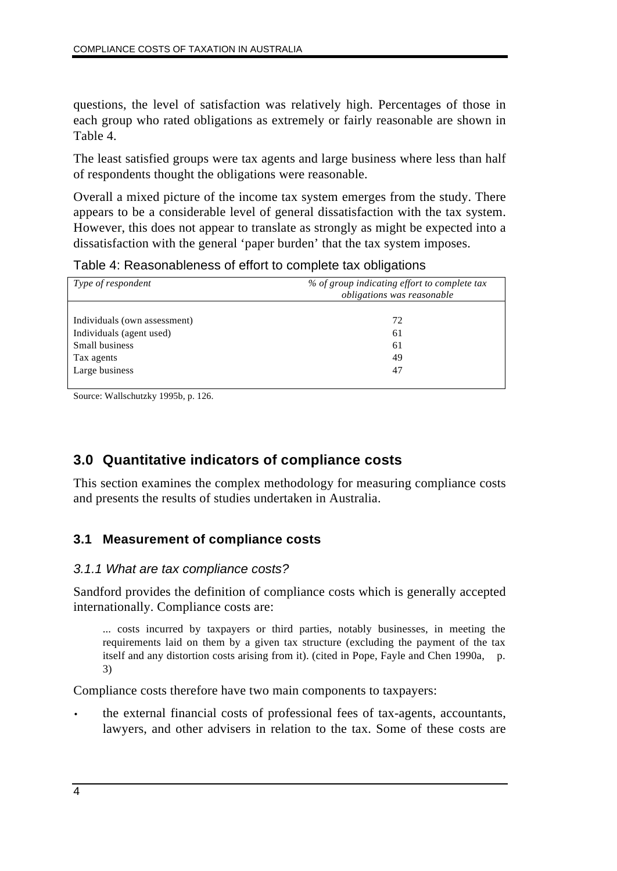questions, the level of satisfaction was relatively high. Percentages of those in each group who rated obligations as extremely or fairly reasonable are shown in Table 4.

The least satisfied groups were tax agents and large business where less than half of respondents thought the obligations were reasonable.

Overall a mixed picture of the income tax system emerges from the study. There appears to be a considerable level of general dissatisfaction with the tax system. However, this does not appear to translate as strongly as might be expected into a dissatisfaction with the general 'paper burden' that the tax system imposes.

Table 4: Reasonableness of effort to complete tax obligations

| Type of respondent           | % of group indicating effort to complete tax<br>obligations was reasonable |
|------------------------------|----------------------------------------------------------------------------|
|                              |                                                                            |
| Individuals (own assessment) | 72                                                                         |
| Individuals (agent used)     | 61                                                                         |
| Small business               | 61                                                                         |
| Tax agents                   | 49                                                                         |
| Large business               | 47                                                                         |
|                              |                                                                            |

Source: Wallschutzky 1995b, p. 126.

# **3.0 Quantitative indicators of compliance costs**

This section examines the complex methodology for measuring compliance costs and presents the results of studies undertaken in Australia.

## **3.1 Measurement of compliance costs**

### *3.1.1 What are tax compliance costs?*

Sandford provides the definition of compliance costs which is generally accepted internationally. Compliance costs are:

... costs incurred by taxpayers or third parties, notably businesses, in meeting the requirements laid on them by a given tax structure (excluding the payment of the tax itself and any distortion costs arising from it). (cited in Pope, Fayle and Chen 1990a, p. 3)

Compliance costs therefore have two main components to taxpayers:

• the external financial costs of professional fees of tax-agents, accountants, lawyers, and other advisers in relation to the tax. Some of these costs are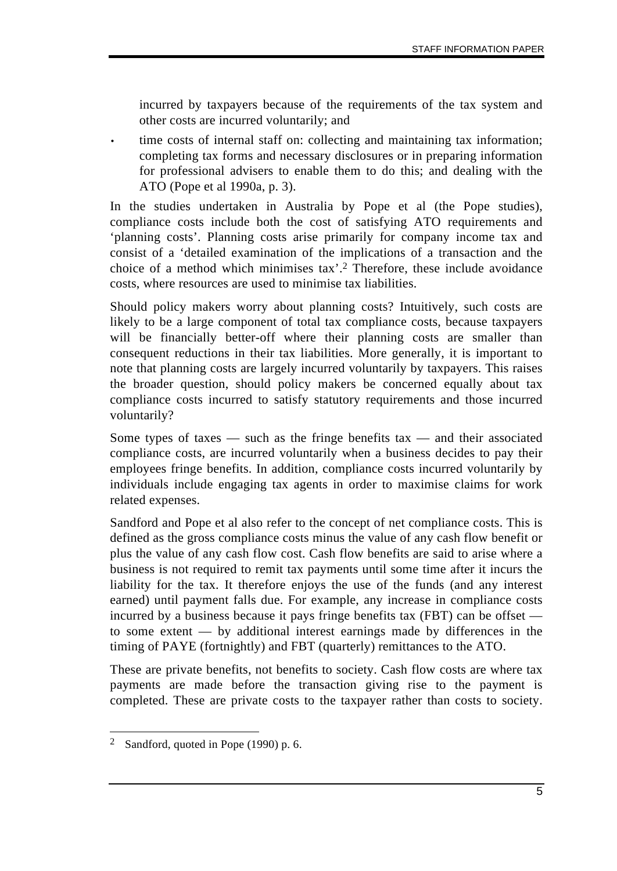incurred by taxpayers because of the requirements of the tax system and other costs are incurred voluntarily; and

• time costs of internal staff on: collecting and maintaining tax information; completing tax forms and necessary disclosures or in preparing information for professional advisers to enable them to do this; and dealing with the ATO (Pope et al 1990a, p. 3).

In the studies undertaken in Australia by Pope et al (the Pope studies), compliance costs include both the cost of satisfying ATO requirements and 'planning costs'. Planning costs arise primarily for company income tax and consist of a 'detailed examination of the implications of a transaction and the choice of a method which minimises tax'.2 Therefore, these include avoidance costs, where resources are used to minimise tax liabilities.

Should policy makers worry about planning costs? Intuitively, such costs are likely to be a large component of total tax compliance costs, because taxpayers will be financially better-off where their planning costs are smaller than consequent reductions in their tax liabilities. More generally, it is important to note that planning costs are largely incurred voluntarily by taxpayers. This raises the broader question, should policy makers be concerned equally about tax compliance costs incurred to satisfy statutory requirements and those incurred voluntarily?

Some types of taxes  $-$  such as the fringe benefits tax  $-$  and their associated compliance costs, are incurred voluntarily when a business decides to pay their employees fringe benefits. In addition, compliance costs incurred voluntarily by individuals include engaging tax agents in order to maximise claims for work related expenses.

Sandford and Pope et al also refer to the concept of net compliance costs. This is defined as the gross compliance costs minus the value of any cash flow benefit or plus the value of any cash flow cost. Cash flow benefits are said to arise where a business is not required to remit tax payments until some time after it incurs the liability for the tax. It therefore enjoys the use of the funds (and any interest earned) until payment falls due. For example, any increase in compliance costs incurred by a business because it pays fringe benefits tax (FBT) can be offset to some extent — by additional interest earnings made by differences in the timing of PAYE (fortnightly) and FBT (quarterly) remittances to the ATO.

These are private benefits, not benefits to society. Cash flow costs are where tax payments are made before the transaction giving rise to the payment is completed. These are private costs to the taxpayer rather than costs to society.

 $\overline{a}$ 2 Sandford, quoted in Pope (1990) p. 6.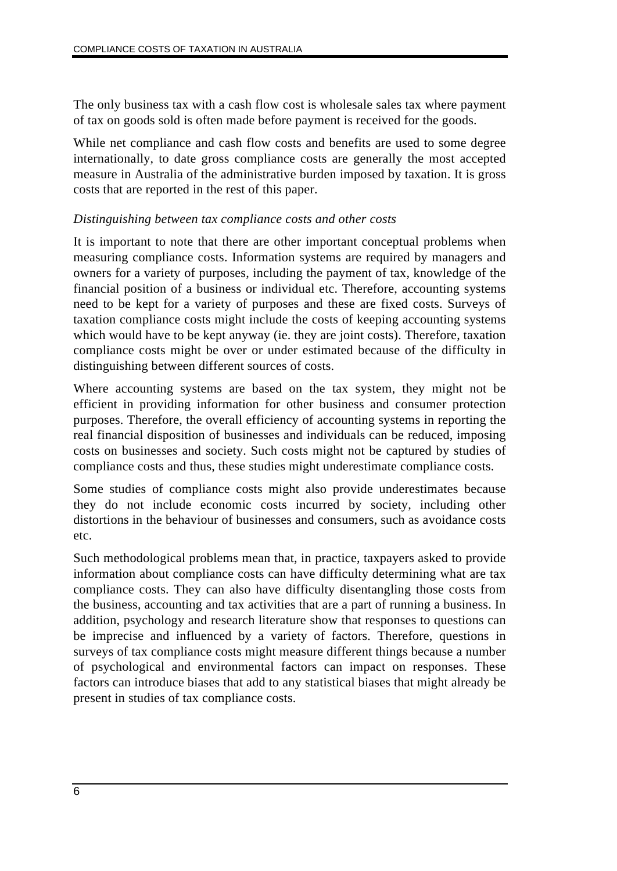The only business tax with a cash flow cost is wholesale sales tax where payment of tax on goods sold is often made before payment is received for the goods.

While net compliance and cash flow costs and benefits are used to some degree internationally, to date gross compliance costs are generally the most accepted measure in Australia of the administrative burden imposed by taxation. It is gross costs that are reported in the rest of this paper.

#### *Distinguishing between tax compliance costs and other costs*

It is important to note that there are other important conceptual problems when measuring compliance costs. Information systems are required by managers and owners for a variety of purposes, including the payment of tax, knowledge of the financial position of a business or individual etc. Therefore, accounting systems need to be kept for a variety of purposes and these are fixed costs. Surveys of taxation compliance costs might include the costs of keeping accounting systems which would have to be kept anyway (ie. they are joint costs). Therefore, taxation compliance costs might be over or under estimated because of the difficulty in distinguishing between different sources of costs.

Where accounting systems are based on the tax system, they might not be efficient in providing information for other business and consumer protection purposes. Therefore, the overall efficiency of accounting systems in reporting the real financial disposition of businesses and individuals can be reduced, imposing costs on businesses and society. Such costs might not be captured by studies of compliance costs and thus, these studies might underestimate compliance costs.

Some studies of compliance costs might also provide underestimates because they do not include economic costs incurred by society, including other distortions in the behaviour of businesses and consumers, such as avoidance costs etc.

Such methodological problems mean that, in practice, taxpayers asked to provide information about compliance costs can have difficulty determining what are tax compliance costs. They can also have difficulty disentangling those costs from the business, accounting and tax activities that are a part of running a business. In addition, psychology and research literature show that responses to questions can be imprecise and influenced by a variety of factors. Therefore, questions in surveys of tax compliance costs might measure different things because a number of psychological and environmental factors can impact on responses. These factors can introduce biases that add to any statistical biases that might already be present in studies of tax compliance costs.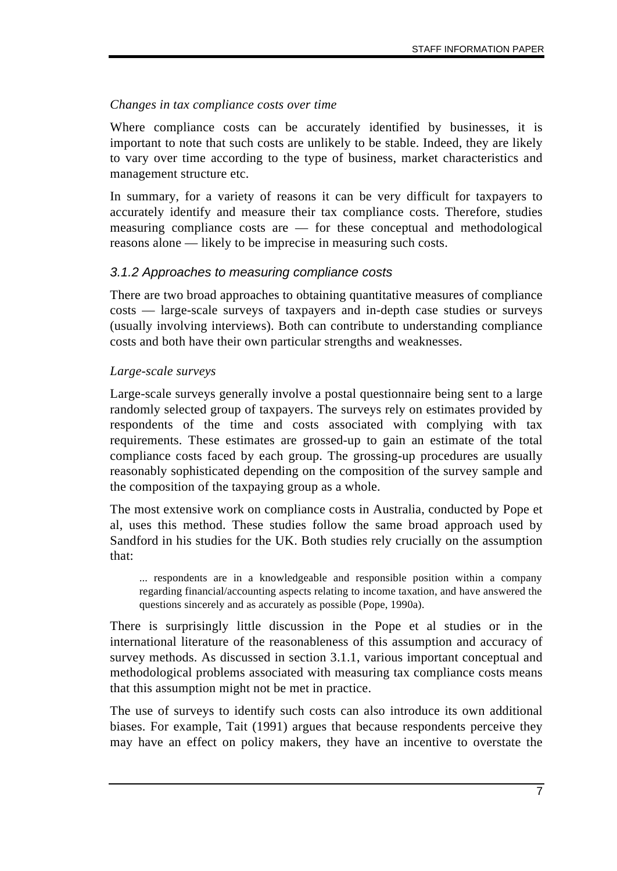#### *Changes in tax compliance costs over time*

Where compliance costs can be accurately identified by businesses, it is important to note that such costs are unlikely to be stable. Indeed, they are likely to vary over time according to the type of business, market characteristics and management structure etc.

In summary, for a variety of reasons it can be very difficult for taxpayers to accurately identify and measure their tax compliance costs. Therefore, studies measuring compliance costs are — for these conceptual and methodological reasons alone — likely to be imprecise in measuring such costs.

### *3.1.2 Approaches to measuring compliance costs*

There are two broad approaches to obtaining quantitative measures of compliance costs — large-scale surveys of taxpayers and in-depth case studies or surveys (usually involving interviews). Both can contribute to understanding compliance costs and both have their own particular strengths and weaknesses.

#### *Large-scale surveys*

Large-scale surveys generally involve a postal questionnaire being sent to a large randomly selected group of taxpayers. The surveys rely on estimates provided by respondents of the time and costs associated with complying with tax requirements. These estimates are grossed-up to gain an estimate of the total compliance costs faced by each group. The grossing-up procedures are usually reasonably sophisticated depending on the composition of the survey sample and the composition of the taxpaying group as a whole.

The most extensive work on compliance costs in Australia, conducted by Pope et al, uses this method. These studies follow the same broad approach used by Sandford in his studies for the UK. Both studies rely crucially on the assumption that:

... respondents are in a knowledgeable and responsible position within a company regarding financial/accounting aspects relating to income taxation, and have answered the questions sincerely and as accurately as possible (Pope, 1990a).

There is surprisingly little discussion in the Pope et al studies or in the international literature of the reasonableness of this assumption and accuracy of survey methods. As discussed in section 3.1.1, various important conceptual and methodological problems associated with measuring tax compliance costs means that this assumption might not be met in practice.

The use of surveys to identify such costs can also introduce its own additional biases. For example, Tait (1991) argues that because respondents perceive they may have an effect on policy makers, they have an incentive to overstate the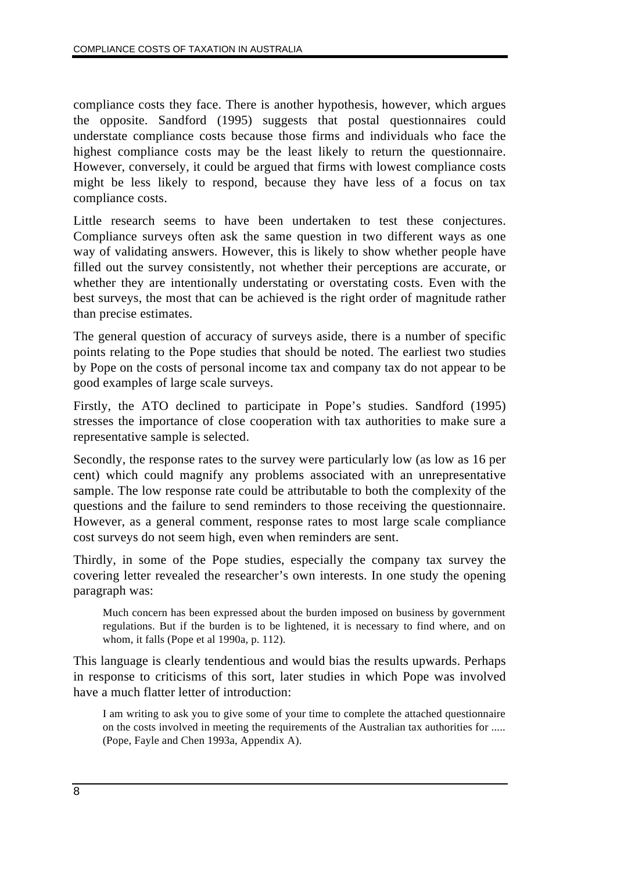compliance costs they face. There is another hypothesis, however, which argues the opposite. Sandford (1995) suggests that postal questionnaires could understate compliance costs because those firms and individuals who face the highest compliance costs may be the least likely to return the questionnaire. However, conversely, it could be argued that firms with lowest compliance costs might be less likely to respond, because they have less of a focus on tax compliance costs.

Little research seems to have been undertaken to test these conjectures. Compliance surveys often ask the same question in two different ways as one way of validating answers. However, this is likely to show whether people have filled out the survey consistently, not whether their perceptions are accurate, or whether they are intentionally understating or overstating costs. Even with the best surveys, the most that can be achieved is the right order of magnitude rather than precise estimates.

The general question of accuracy of surveys aside, there is a number of specific points relating to the Pope studies that should be noted. The earliest two studies by Pope on the costs of personal income tax and company tax do not appear to be good examples of large scale surveys.

Firstly, the ATO declined to participate in Pope's studies. Sandford (1995) stresses the importance of close cooperation with tax authorities to make sure a representative sample is selected.

Secondly, the response rates to the survey were particularly low (as low as 16 per cent) which could magnify any problems associated with an unrepresentative sample. The low response rate could be attributable to both the complexity of the questions and the failure to send reminders to those receiving the questionnaire. However, as a general comment, response rates to most large scale compliance cost surveys do not seem high, even when reminders are sent.

Thirdly, in some of the Pope studies, especially the company tax survey the covering letter revealed the researcher's own interests. In one study the opening paragraph was:

Much concern has been expressed about the burden imposed on business by government regulations. But if the burden is to be lightened, it is necessary to find where, and on whom, it falls (Pope et al 1990a, p. 112).

This language is clearly tendentious and would bias the results upwards. Perhaps in response to criticisms of this sort, later studies in which Pope was involved have a much flatter letter of introduction:

I am writing to ask you to give some of your time to complete the attached questionnaire on the costs involved in meeting the requirements of the Australian tax authorities for ..... (Pope, Fayle and Chen 1993a, Appendix A).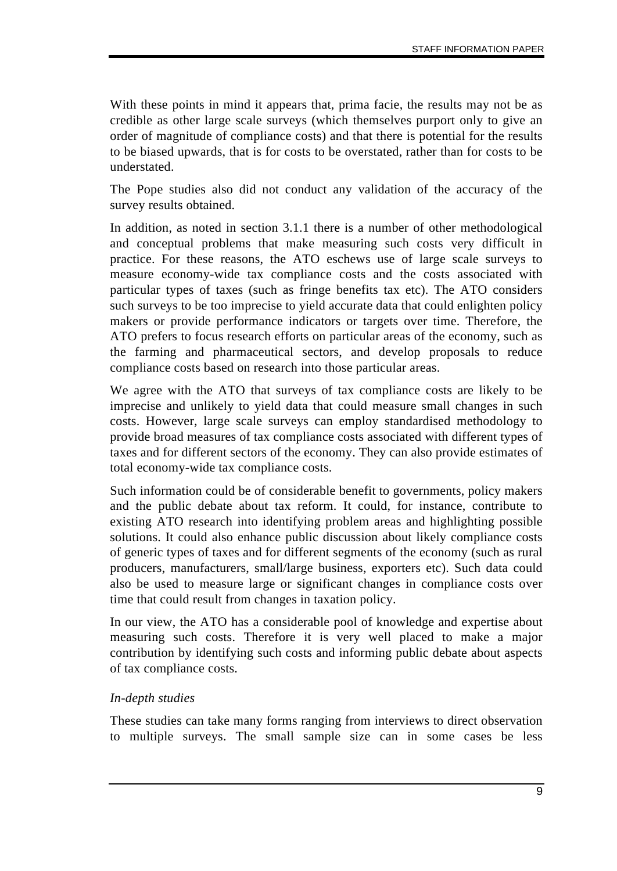With these points in mind it appears that, prima facie, the results may not be as credible as other large scale surveys (which themselves purport only to give an order of magnitude of compliance costs) and that there is potential for the results to be biased upwards, that is for costs to be overstated, rather than for costs to be understated.

The Pope studies also did not conduct any validation of the accuracy of the survey results obtained.

In addition, as noted in section 3.1.1 there is a number of other methodological and conceptual problems that make measuring such costs very difficult in practice. For these reasons, the ATO eschews use of large scale surveys to measure economy-wide tax compliance costs and the costs associated with particular types of taxes (such as fringe benefits tax etc). The ATO considers such surveys to be too imprecise to yield accurate data that could enlighten policy makers or provide performance indicators or targets over time. Therefore, the ATO prefers to focus research efforts on particular areas of the economy, such as the farming and pharmaceutical sectors, and develop proposals to reduce compliance costs based on research into those particular areas.

We agree with the ATO that surveys of tax compliance costs are likely to be imprecise and unlikely to yield data that could measure small changes in such costs. However, large scale surveys can employ standardised methodology to provide broad measures of tax compliance costs associated with different types of taxes and for different sectors of the economy. They can also provide estimates of total economy-wide tax compliance costs.

Such information could be of considerable benefit to governments, policy makers and the public debate about tax reform. It could, for instance, contribute to existing ATO research into identifying problem areas and highlighting possible solutions. It could also enhance public discussion about likely compliance costs of generic types of taxes and for different segments of the economy (such as rural producers, manufacturers, small/large business, exporters etc). Such data could also be used to measure large or significant changes in compliance costs over time that could result from changes in taxation policy.

In our view, the ATO has a considerable pool of knowledge and expertise about measuring such costs. Therefore it is very well placed to make a major contribution by identifying such costs and informing public debate about aspects of tax compliance costs.

#### *In-depth studies*

These studies can take many forms ranging from interviews to direct observation to multiple surveys. The small sample size can in some cases be less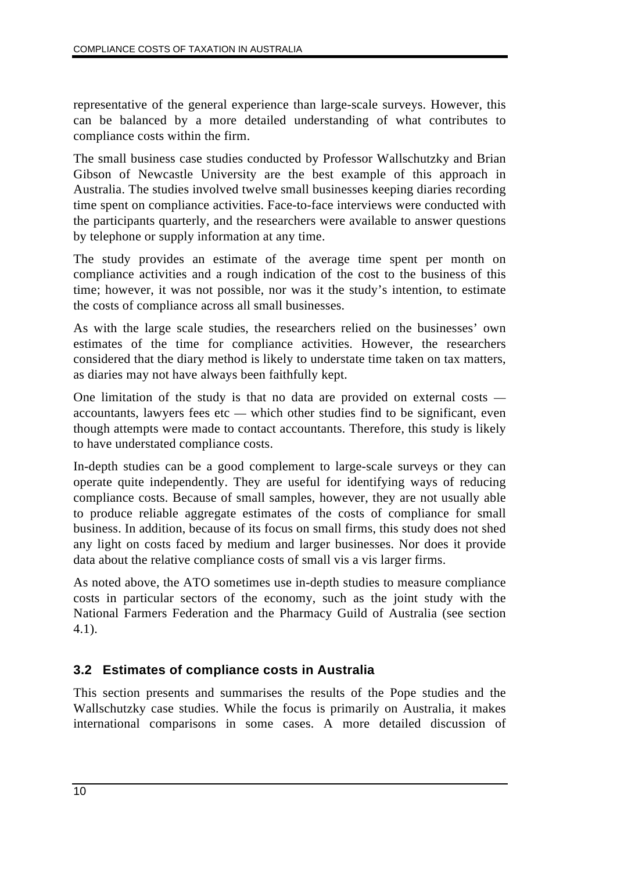representative of the general experience than large-scale surveys. However, this can be balanced by a more detailed understanding of what contributes to compliance costs within the firm.

The small business case studies conducted by Professor Wallschutzky and Brian Gibson of Newcastle University are the best example of this approach in Australia. The studies involved twelve small businesses keeping diaries recording time spent on compliance activities. Face-to-face interviews were conducted with the participants quarterly, and the researchers were available to answer questions by telephone or supply information at any time.

The study provides an estimate of the average time spent per month on compliance activities and a rough indication of the cost to the business of this time; however, it was not possible, nor was it the study's intention, to estimate the costs of compliance across all small businesses.

As with the large scale studies, the researchers relied on the businesses' own estimates of the time for compliance activities. However, the researchers considered that the diary method is likely to understate time taken on tax matters, as diaries may not have always been faithfully kept.

One limitation of the study is that no data are provided on external costs accountants, lawyers fees etc — which other studies find to be significant, even though attempts were made to contact accountants. Therefore, this study is likely to have understated compliance costs.

In-depth studies can be a good complement to large-scale surveys or they can operate quite independently. They are useful for identifying ways of reducing compliance costs. Because of small samples, however, they are not usually able to produce reliable aggregate estimates of the costs of compliance for small business. In addition, because of its focus on small firms, this study does not shed any light on costs faced by medium and larger businesses. Nor does it provide data about the relative compliance costs of small vis a vis larger firms.

As noted above, the ATO sometimes use in-depth studies to measure compliance costs in particular sectors of the economy, such as the joint study with the National Farmers Federation and the Pharmacy Guild of Australia (see section 4.1).

## **3.2 Estimates of compliance costs in Australia**

This section presents and summarises the results of the Pope studies and the Wallschutzky case studies. While the focus is primarily on Australia, it makes international comparisons in some cases. A more detailed discussion of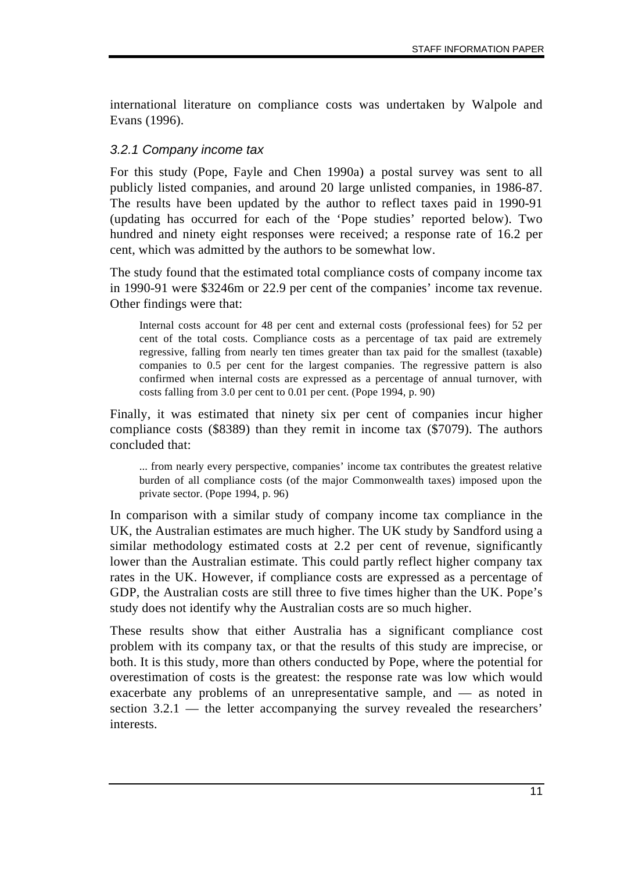international literature on compliance costs was undertaken by Walpole and Evans (1996).

### *3.2.1 Company income tax*

For this study (Pope, Fayle and Chen 1990a) a postal survey was sent to all publicly listed companies, and around 20 large unlisted companies, in 1986-87. The results have been updated by the author to reflect taxes paid in 1990-91 (updating has occurred for each of the 'Pope studies' reported below). Two hundred and ninety eight responses were received; a response rate of 16.2 per cent, which was admitted by the authors to be somewhat low.

The study found that the estimated total compliance costs of company income tax in 1990-91 were \$3246m or 22.9 per cent of the companies' income tax revenue. Other findings were that:

Internal costs account for 48 per cent and external costs (professional fees) for 52 per cent of the total costs. Compliance costs as a percentage of tax paid are extremely regressive, falling from nearly ten times greater than tax paid for the smallest (taxable) companies to 0.5 per cent for the largest companies. The regressive pattern is also confirmed when internal costs are expressed as a percentage of annual turnover, with costs falling from 3.0 per cent to 0.01 per cent. (Pope 1994, p. 90)

Finally, it was estimated that ninety six per cent of companies incur higher compliance costs (\$8389) than they remit in income tax (\$7079). The authors concluded that:

... from nearly every perspective, companies' income tax contributes the greatest relative burden of all compliance costs (of the major Commonwealth taxes) imposed upon the private sector. (Pope 1994, p. 96)

In comparison with a similar study of company income tax compliance in the UK, the Australian estimates are much higher. The UK study by Sandford using a similar methodology estimated costs at 2.2 per cent of revenue, significantly lower than the Australian estimate. This could partly reflect higher company tax rates in the UK. However, if compliance costs are expressed as a percentage of GDP, the Australian costs are still three to five times higher than the UK. Pope's study does not identify why the Australian costs are so much higher.

These results show that either Australia has a significant compliance cost problem with its company tax, or that the results of this study are imprecise, or both. It is this study, more than others conducted by Pope, where the potential for overestimation of costs is the greatest: the response rate was low which would exacerbate any problems of an unrepresentative sample, and — as noted in section 3.2.1 — the letter accompanying the survey revealed the researchers' interests.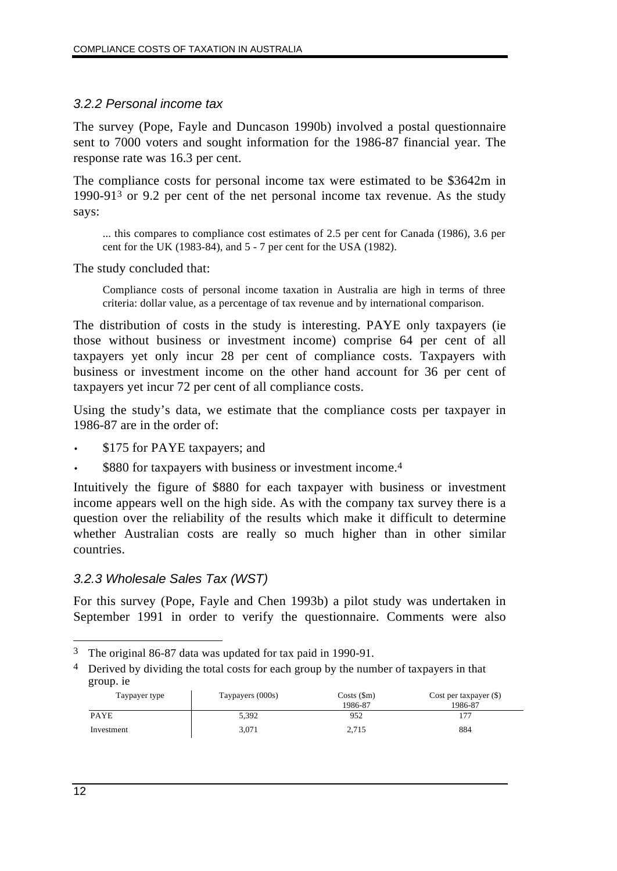### *3.2.2 Personal income tax*

The survey (Pope, Fayle and Duncason 1990b) involved a postal questionnaire sent to 7000 voters and sought information for the 1986-87 financial year. The response rate was 16.3 per cent.

The compliance costs for personal income tax were estimated to be \$3642m in 1990-913 or 9.2 per cent of the net personal income tax revenue. As the study says:

... this compares to compliance cost estimates of 2.5 per cent for Canada (1986), 3.6 per cent for the UK (1983-84), and 5 - 7 per cent for the USA (1982).

The study concluded that:

Compliance costs of personal income taxation in Australia are high in terms of three criteria: dollar value, as a percentage of tax revenue and by international comparison.

The distribution of costs in the study is interesting. PAYE only taxpayers (ie those without business or investment income) comprise 64 per cent of all taxpayers yet only incur 28 per cent of compliance costs. Taxpayers with business or investment income on the other hand account for 36 per cent of taxpayers yet incur 72 per cent of all compliance costs.

Using the study's data, we estimate that the compliance costs per taxpayer in 1986-87 are in the order of:

- \$175 for PAYE taxpayers; and
- \$880 for taxpayers with business or investment income.<sup>4</sup>

Intuitively the figure of \$880 for each taxpayer with business or investment income appears well on the high side. As with the company tax survey there is a question over the reliability of the results which make it difficult to determine whether Australian costs are really so much higher than in other similar countries.

#### *3.2.3 Wholesale Sales Tax (WST)*

For this survey (Pope, Fayle and Chen 1993b) a pilot study was undertaken in September 1991 in order to verify the questionnaire. Comments were also

<sup>4</sup> Derived by dividing the total costs for each group by the number of taxpayers in that group. ie

| Taypayer type | Taypayers (000s) | $Costs$ (\$m)<br>1986-87 | Cost per taxpayer $(\$)$<br>1986-87 |
|---------------|------------------|--------------------------|-------------------------------------|
| <b>PAYE</b>   | 5,392            | 952                      |                                     |
| Investment    | 3,071            | 2.715                    | 884                                 |

 $\overline{a}$ 3 The original 86-87 data was updated for tax paid in 1990-91.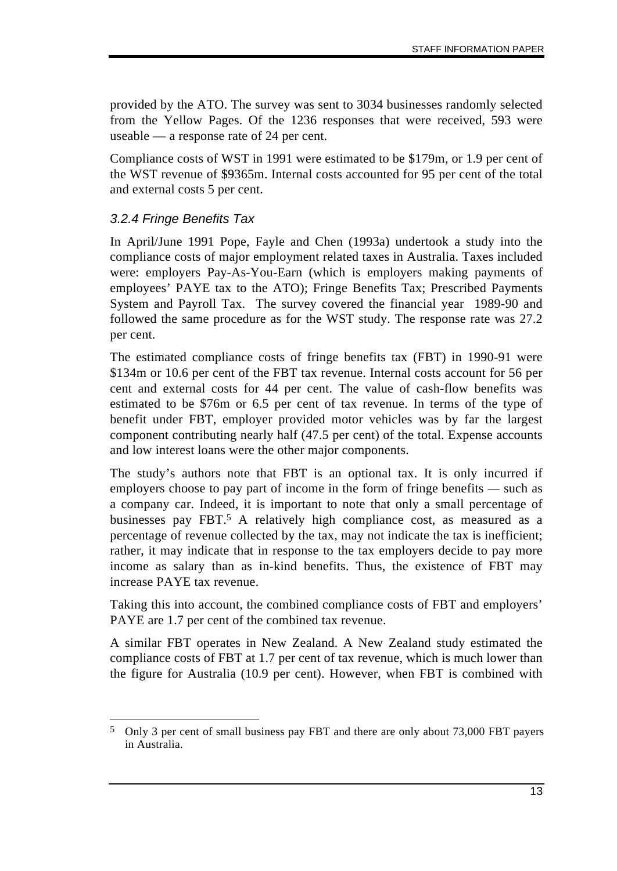provided by the ATO. The survey was sent to 3034 businesses randomly selected from the Yellow Pages. Of the 1236 responses that were received, 593 were useable — a response rate of 24 per cent.

Compliance costs of WST in 1991 were estimated to be \$179m, or 1.9 per cent of the WST revenue of \$9365m. Internal costs accounted for 95 per cent of the total and external costs 5 per cent.

### *3.2.4 Fringe Benefits Tax*

In April/June 1991 Pope, Fayle and Chen (1993a) undertook a study into the compliance costs of major employment related taxes in Australia. Taxes included were: employers Pay-As-You-Earn (which is employers making payments of employees' PAYE tax to the ATO); Fringe Benefits Tax; Prescribed Payments System and Payroll Tax. The survey covered the financial year 1989-90 and followed the same procedure as for the WST study. The response rate was 27.2 per cent.

The estimated compliance costs of fringe benefits tax (FBT) in 1990-91 were \$134m or 10.6 per cent of the FBT tax revenue. Internal costs account for 56 per cent and external costs for 44 per cent. The value of cash-flow benefits was estimated to be \$76m or 6.5 per cent of tax revenue. In terms of the type of benefit under FBT, employer provided motor vehicles was by far the largest component contributing nearly half (47.5 per cent) of the total. Expense accounts and low interest loans were the other major components.

The study's authors note that FBT is an optional tax. It is only incurred if employers choose to pay part of income in the form of fringe benefits — such as a company car. Indeed, it is important to note that only a small percentage of businesses pay FBT.5 A relatively high compliance cost, as measured as a percentage of revenue collected by the tax, may not indicate the tax is inefficient; rather, it may indicate that in response to the tax employers decide to pay more income as salary than as in-kind benefits. Thus, the existence of FBT may increase PAYE tax revenue.

Taking this into account, the combined compliance costs of FBT and employers' PAYE are 1.7 per cent of the combined tax revenue.

A similar FBT operates in New Zealand. A New Zealand study estimated the compliance costs of FBT at 1.7 per cent of tax revenue, which is much lower than the figure for Australia (10.9 per cent). However, when FBT is combined with

 $\overline{a}$ 5 Only 3 per cent of small business pay FBT and there are only about 73,000 FBT payers in Australia.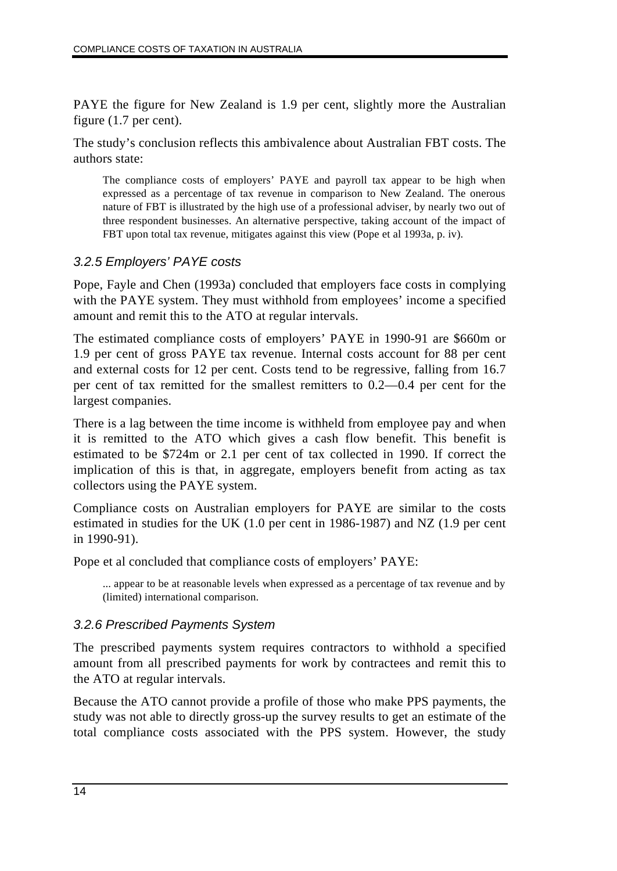PAYE the figure for New Zealand is 1.9 per cent, slightly more the Australian figure (1.7 per cent).

The study's conclusion reflects this ambivalence about Australian FBT costs. The authors state:

The compliance costs of employers' PAYE and payroll tax appear to be high when expressed as a percentage of tax revenue in comparison to New Zealand. The onerous nature of FBT is illustrated by the high use of a professional adviser, by nearly two out of three respondent businesses. An alternative perspective, taking account of the impact of FBT upon total tax revenue, mitigates against this view (Pope et al 1993a, p. iv).

### *3.2.5 Employers' PAYE costs*

Pope, Fayle and Chen (1993a) concluded that employers face costs in complying with the PAYE system. They must withhold from employees' income a specified amount and remit this to the ATO at regular intervals.

The estimated compliance costs of employers' PAYE in 1990-91 are \$660m or 1.9 per cent of gross PAYE tax revenue. Internal costs account for 88 per cent and external costs for 12 per cent. Costs tend to be regressive, falling from 16.7 per cent of tax remitted for the smallest remitters to 0.2—0.4 per cent for the largest companies.

There is a lag between the time income is withheld from employee pay and when it is remitted to the ATO which gives a cash flow benefit. This benefit is estimated to be \$724m or 2.1 per cent of tax collected in 1990. If correct the implication of this is that, in aggregate, employers benefit from acting as tax collectors using the PAYE system.

Compliance costs on Australian employers for PAYE are similar to the costs estimated in studies for the UK (1.0 per cent in 1986-1987) and NZ (1.9 per cent in 1990-91).

Pope et al concluded that compliance costs of employers' PAYE:

... appear to be at reasonable levels when expressed as a percentage of tax revenue and by (limited) international comparison.

### *3.2.6 Prescribed Payments System*

The prescribed payments system requires contractors to withhold a specified amount from all prescribed payments for work by contractees and remit this to the ATO at regular intervals.

Because the ATO cannot provide a profile of those who make PPS payments, the study was not able to directly gross-up the survey results to get an estimate of the total compliance costs associated with the PPS system. However, the study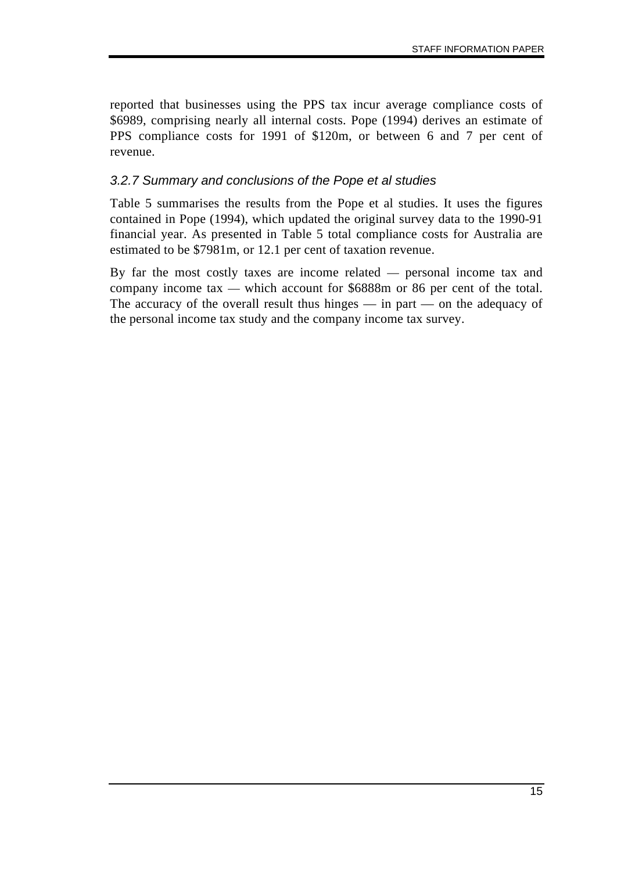reported that businesses using the PPS tax incur average compliance costs of \$6989, comprising nearly all internal costs. Pope (1994) derives an estimate of PPS compliance costs for 1991 of \$120m, or between 6 and 7 per cent of revenue.

### *3.2.7 Summary and conclusions of the Pope et al studies*

Table 5 summarises the results from the Pope et al studies. It uses the figures contained in Pope (1994), which updated the original survey data to the 1990-91 financial year. As presented in Table 5 total compliance costs for Australia are estimated to be \$7981m, or 12.1 per cent of taxation revenue.

By far the most costly taxes are income related — personal income tax and company income tax — which account for \$6888m or 86 per cent of the total. The accuracy of the overall result thus hinges — in part — on the adequacy of the personal income tax study and the company income tax survey.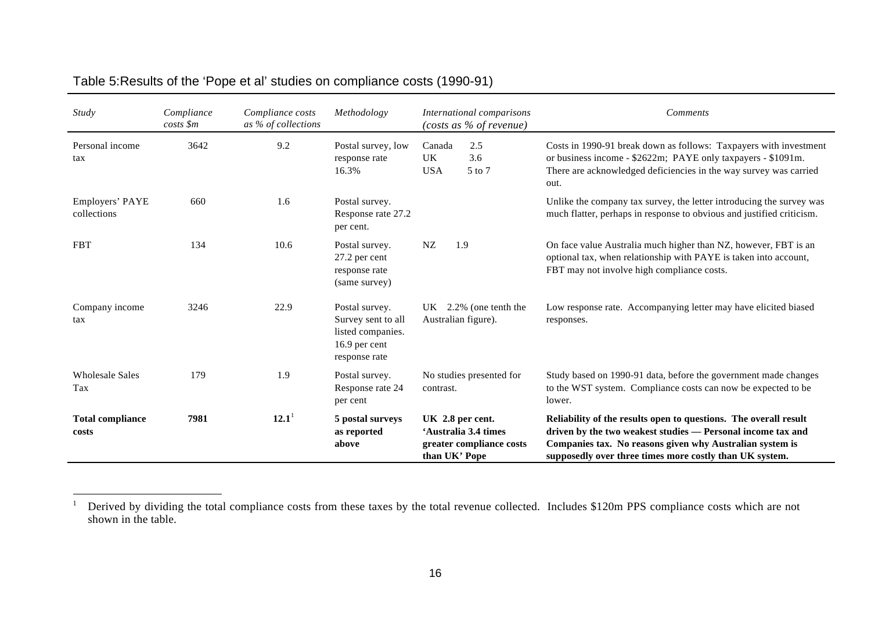| Study                            | Compliance<br>$costs$ \$m | Compliance costs<br>as % of collections | Methodology                                                                                 | International comparisons<br>(costs as % of revenue)                                  | Comments                                                                                                                                                                                                                                               |
|----------------------------------|---------------------------|-----------------------------------------|---------------------------------------------------------------------------------------------|---------------------------------------------------------------------------------------|--------------------------------------------------------------------------------------------------------------------------------------------------------------------------------------------------------------------------------------------------------|
| Personal income<br>tax           | 3642                      | 9.2                                     | Postal survey, low<br>response rate<br>16.3%                                                | Canada<br>2.5<br><b>UK</b><br>3.6<br><b>USA</b><br>5 to 7                             | Costs in 1990-91 break down as follows: Taxpayers with investment<br>or business income - \$2622m; PAYE only taxpayers - \$1091m.<br>There are acknowledged deficiencies in the way survey was carried<br>out.                                         |
| Employers' PAYE<br>collections   | 660                       | 1.6                                     | Postal survey.<br>Response rate 27.2<br>per cent.                                           |                                                                                       | Unlike the company tax survey, the letter introducing the survey was<br>much flatter, perhaps in response to obvious and justified criticism.                                                                                                          |
| <b>FBT</b>                       | 134                       | 10.6                                    | Postal survey.<br>27.2 per cent<br>response rate<br>(same survey)                           | NZ<br>1.9                                                                             | On face value Australia much higher than NZ, however, FBT is an<br>optional tax, when relationship with PAYE is taken into account,<br>FBT may not involve high compliance costs.                                                                      |
| Company income<br>tax            | 3246                      | 22.9                                    | Postal survey.<br>Survey sent to all<br>listed companies.<br>16.9 per cent<br>response rate | 2.2% (one tenth the<br>UK –<br>Australian figure).                                    | Low response rate. Accompanying letter may have elicited biased<br>responses.                                                                                                                                                                          |
| <b>Wholesale Sales</b><br>Tax    | 179                       | 1.9                                     | Postal survey.<br>Response rate 24<br>per cent                                              | No studies presented for<br>contrast.                                                 | Study based on 1990-91 data, before the government made changes<br>to the WST system. Compliance costs can now be expected to be<br>lower.                                                                                                             |
| <b>Total compliance</b><br>costs | 7981                      | $12.1^1$                                | 5 postal surveys<br>as reported<br>above                                                    | UK 2.8 per cent.<br>'Australia 3.4 times<br>greater compliance costs<br>than UK' Pope | Reliability of the results open to questions. The overall result<br>driven by the two weakest studies - Personal income tax and<br>Companies tax. No reasons given why Australian system is<br>supposedly over three times more costly than UK system. |

# Table 5:Results of the 'Pope et al' studies on compliance costs (1990-91)

 $\overline{1}$ 

<sup>1</sup> Derived by dividing the total compliance costs from these taxes by the total revenue collected. Includes \$120m PPS compliance costs which are not shown in the table.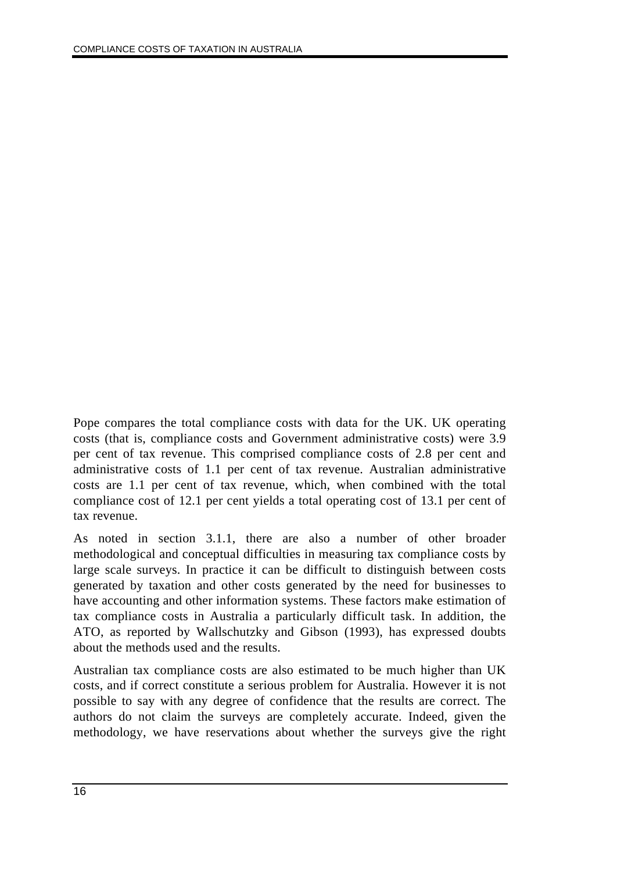Pope compares the total compliance costs with data for the UK. UK operating costs (that is, compliance costs and Government administrative costs) were 3.9 per cent of tax revenue. This comprised compliance costs of 2.8 per cent and administrative costs of 1.1 per cent of tax revenue. Australian administrative costs are 1.1 per cent of tax revenue, which, when combined with the total compliance cost of 12.1 per cent yields a total operating cost of 13.1 per cent of tax revenue.

As noted in section 3.1.1, there are also a number of other broader methodological and conceptual difficulties in measuring tax compliance costs by large scale surveys. In practice it can be difficult to distinguish between costs generated by taxation and other costs generated by the need for businesses to have accounting and other information systems. These factors make estimation of tax compliance costs in Australia a particularly difficult task. In addition, the ATO, as reported by Wallschutzky and Gibson (1993), has expressed doubts about the methods used and the results.

Australian tax compliance costs are also estimated to be much higher than UK costs, and if correct constitute a serious problem for Australia. However it is not possible to say with any degree of confidence that the results are correct. The authors do not claim the surveys are completely accurate. Indeed, given the methodology, we have reservations about whether the surveys give the right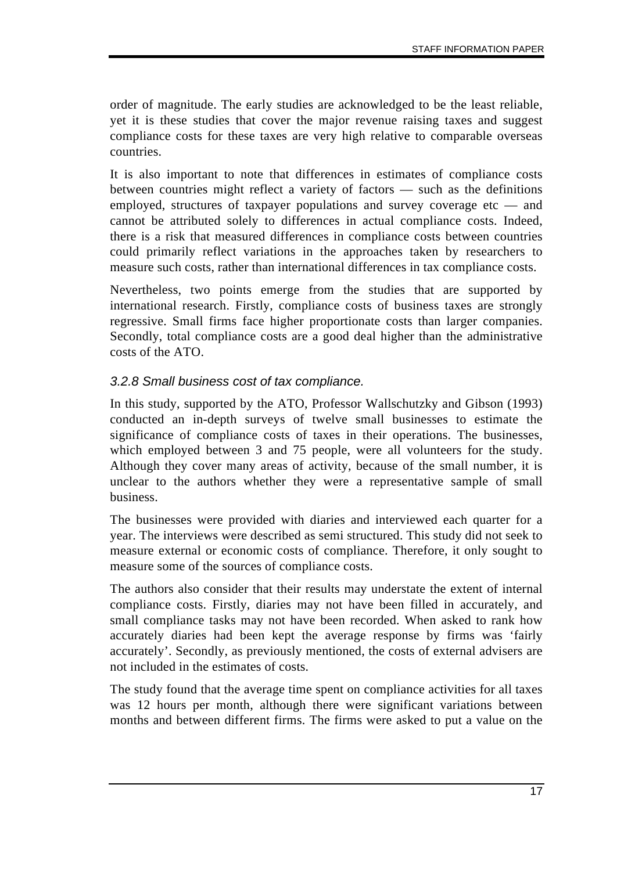order of magnitude. The early studies are acknowledged to be the least reliable, yet it is these studies that cover the major revenue raising taxes and suggest compliance costs for these taxes are very high relative to comparable overseas countries.

It is also important to note that differences in estimates of compliance costs between countries might reflect a variety of factors — such as the definitions employed, structures of taxpayer populations and survey coverage etc — and cannot be attributed solely to differences in actual compliance costs. Indeed, there is a risk that measured differences in compliance costs between countries could primarily reflect variations in the approaches taken by researchers to measure such costs, rather than international differences in tax compliance costs.

Nevertheless, two points emerge from the studies that are supported by international research. Firstly, compliance costs of business taxes are strongly regressive. Small firms face higher proportionate costs than larger companies. Secondly, total compliance costs are a good deal higher than the administrative costs of the ATO.

#### *3.2.8 Small business cost of tax compliance.*

In this study, supported by the ATO, Professor Wallschutzky and Gibson (1993) conducted an in-depth surveys of twelve small businesses to estimate the significance of compliance costs of taxes in their operations. The businesses, which employed between 3 and 75 people, were all volunteers for the study. Although they cover many areas of activity, because of the small number, it is unclear to the authors whether they were a representative sample of small business.

The businesses were provided with diaries and interviewed each quarter for a year. The interviews were described as semi structured. This study did not seek to measure external or economic costs of compliance. Therefore, it only sought to measure some of the sources of compliance costs.

The authors also consider that their results may understate the extent of internal compliance costs. Firstly, diaries may not have been filled in accurately, and small compliance tasks may not have been recorded. When asked to rank how accurately diaries had been kept the average response by firms was 'fairly accurately'. Secondly, as previously mentioned, the costs of external advisers are not included in the estimates of costs.

The study found that the average time spent on compliance activities for all taxes was 12 hours per month, although there were significant variations between months and between different firms. The firms were asked to put a value on the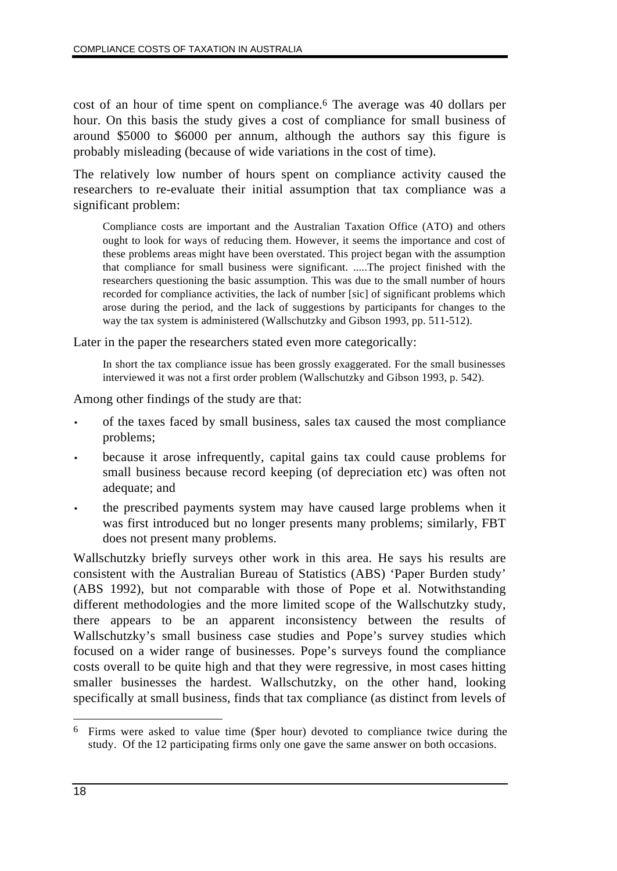cost of an hour of time spent on compliance.6 The average was 40 dollars per hour. On this basis the study gives a cost of compliance for small business of around \$5000 to \$6000 per annum, although the authors say this figure is probably misleading (because of wide variations in the cost of time).

The relatively low number of hours spent on compliance activity caused the researchers to re-evaluate their initial assumption that tax compliance was a significant problem:

Compliance costs are important and the Australian Taxation Office (ATO) and others ought to look for ways of reducing them. However, it seems the importance and cost of these problems areas might have been overstated. This project began with the assumption that compliance for small business were significant. .....The project finished with the researchers questioning the basic assumption. This was due to the small number of hours recorded for compliance activities, the lack of number [sic] of significant problems which arose during the period, and the lack of suggestions by participants for changes to the way the tax system is administered (Wallschutzky and Gibson 1993, pp. 511-512).

Later in the paper the researchers stated even more categorically:

In short the tax compliance issue has been grossly exaggerated. For the small businesses interviewed it was not a first order problem (Wallschutzky and Gibson 1993, p. 542).

Among other findings of the study are that:

- of the taxes faced by small business, sales tax caused the most compliance problems;
- because it arose infrequently, capital gains tax could cause problems for small business because record keeping (of depreciation etc) was often not adequate; and
- the prescribed payments system may have caused large problems when it was first introduced but no longer presents many problems; similarly, FBT does not present many problems.

Wallschutzky briefly surveys other work in this area. He says his results are consistent with the Australian Bureau of Statistics (ABS) 'Paper Burden study' (ABS 1992), but not comparable with those of Pope et al. Notwithstanding different methodologies and the more limited scope of the Wallschutzky study, there appears to be an apparent inconsistency between the results of Wallschutzky's small business case studies and Pope's survey studies which focused on a wider range of businesses. Pope's surveys found the compliance costs overall to be quite high and that they were regressive, in most cases hitting smaller businesses the hardest. Wallschutzky, on the other hand, looking specifically at small business, finds that tax compliance (as distinct from levels of

 $\overline{a}$ 6 Firms were asked to value time (\$per hour) devoted to compliance twice during the study. Of the 12 participating firms only one gave the same answer on both occasions.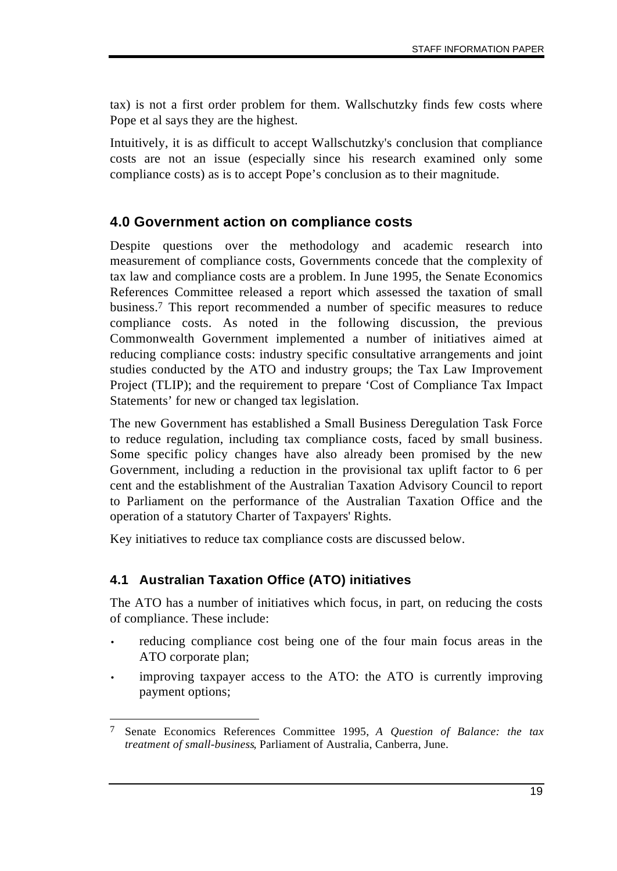tax) is not a first order problem for them. Wallschutzky finds few costs where Pope et al says they are the highest.

Intuitively, it is as difficult to accept Wallschutzky's conclusion that compliance costs are not an issue (especially since his research examined only some compliance costs) as is to accept Pope's conclusion as to their magnitude.

## **4.0 Government action on compliance costs**

Despite questions over the methodology and academic research into measurement of compliance costs, Governments concede that the complexity of tax law and compliance costs are a problem. In June 1995, the Senate Economics References Committee released a report which assessed the taxation of small business.7 This report recommended a number of specific measures to reduce compliance costs. As noted in the following discussion, the previous Commonwealth Government implemented a number of initiatives aimed at reducing compliance costs: industry specific consultative arrangements and joint studies conducted by the ATO and industry groups; the Tax Law Improvement Project (TLIP); and the requirement to prepare 'Cost of Compliance Tax Impact Statements' for new or changed tax legislation.

The new Government has established a Small Business Deregulation Task Force to reduce regulation, including tax compliance costs, faced by small business. Some specific policy changes have also already been promised by the new Government, including a reduction in the provisional tax uplift factor to 6 per cent and the establishment of the Australian Taxation Advisory Council to report to Parliament on the performance of the Australian Taxation Office and the operation of a statutory Charter of Taxpayers' Rights.

Key initiatives to reduce tax compliance costs are discussed below.

### **4.1 Australian Taxation Office (ATO) initiatives**

The ATO has a number of initiatives which focus, in part, on reducing the costs of compliance. These include:

- reducing compliance cost being one of the four main focus areas in the ATO corporate plan;
- improving taxpayer access to the ATO: the ATO is currently improving payment options;

 $\overline{a}$ 7 Senate Economics References Committee 1995, *A Question of Balance: the tax treatment of small-business*, Parliament of Australia, Canberra, June.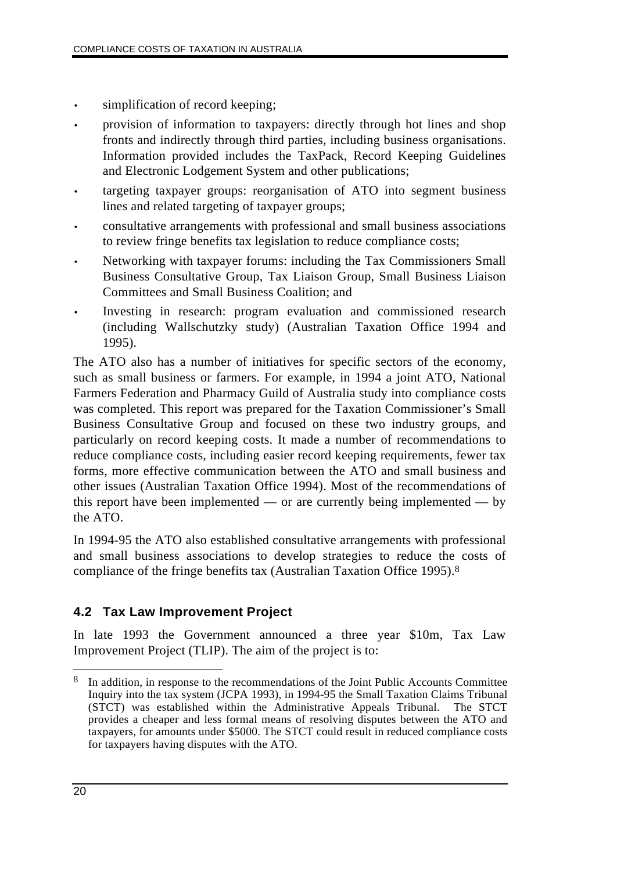- simplification of record keeping;
- provision of information to taxpayers: directly through hot lines and shop fronts and indirectly through third parties, including business organisations. Information provided includes the TaxPack, Record Keeping Guidelines and Electronic Lodgement System and other publications;
- targeting taxpayer groups: reorganisation of ATO into segment business lines and related targeting of taxpayer groups;
- consultative arrangements with professional and small business associations to review fringe benefits tax legislation to reduce compliance costs;
- Networking with taxpayer forums: including the Tax Commissioners Small Business Consultative Group, Tax Liaison Group, Small Business Liaison Committees and Small Business Coalition; and
- Investing in research: program evaluation and commissioned research (including Wallschutzky study) (Australian Taxation Office 1994 and 1995).

The ATO also has a number of initiatives for specific sectors of the economy, such as small business or farmers. For example, in 1994 a joint ATO, National Farmers Federation and Pharmacy Guild of Australia study into compliance costs was completed. This report was prepared for the Taxation Commissioner's Small Business Consultative Group and focused on these two industry groups, and particularly on record keeping costs. It made a number of recommendations to reduce compliance costs, including easier record keeping requirements, fewer tax forms, more effective communication between the ATO and small business and other issues (Australian Taxation Office 1994). Most of the recommendations of this report have been implemented — or are currently being implemented — by the ATO.

In 1994-95 the ATO also established consultative arrangements with professional and small business associations to develop strategies to reduce the costs of compliance of the fringe benefits tax (Australian Taxation Office 1995).8

# **4.2 Tax Law Improvement Project**

In late 1993 the Government announced a three year \$10m, Tax Law Improvement Project (TLIP). The aim of the project is to:

 $\overline{a}$ 8 In addition, in response to the recommendations of the Joint Public Accounts Committee Inquiry into the tax system (JCPA 1993), in 1994-95 the Small Taxation Claims Tribunal (STCT) was established within the Administrative Appeals Tribunal. The STCT provides a cheaper and less formal means of resolving disputes between the ATO and taxpayers, for amounts under \$5000. The STCT could result in reduced compliance costs for taxpayers having disputes with the ATO.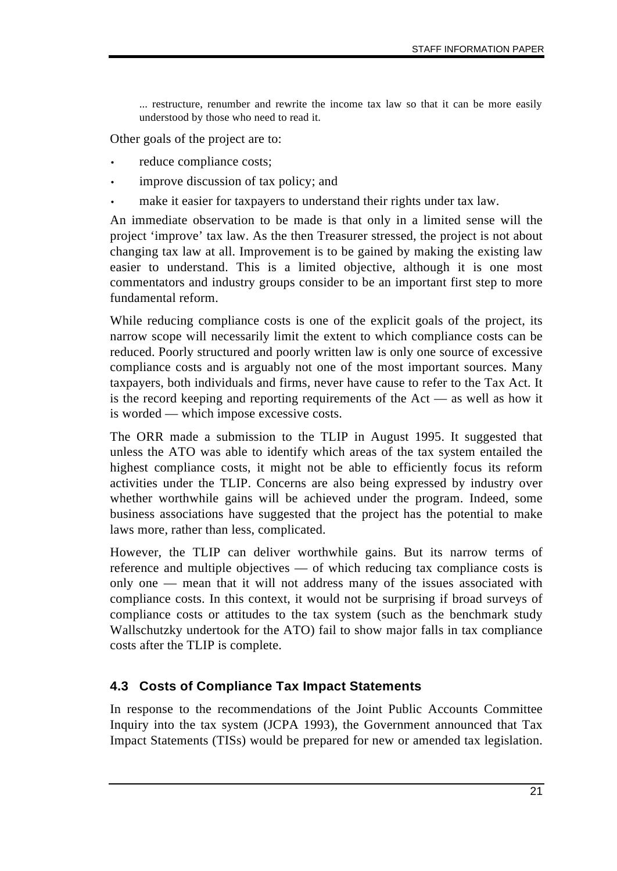... restructure, renumber and rewrite the income tax law so that it can be more easily understood by those who need to read it.

Other goals of the project are to:

- reduce compliance costs;
- improve discussion of tax policy; and
- make it easier for taxpayers to understand their rights under tax law.

An immediate observation to be made is that only in a limited sense will the project 'improve' tax law. As the then Treasurer stressed, the project is not about changing tax law at all. Improvement is to be gained by making the existing law easier to understand. This is a limited objective, although it is one most commentators and industry groups consider to be an important first step to more fundamental reform.

While reducing compliance costs is one of the explicit goals of the project, its narrow scope will necessarily limit the extent to which compliance costs can be reduced. Poorly structured and poorly written law is only one source of excessive compliance costs and is arguably not one of the most important sources. Many taxpayers, both individuals and firms, never have cause to refer to the Tax Act. It is the record keeping and reporting requirements of the Act — as well as how it is worded — which impose excessive costs.

The ORR made a submission to the TLIP in August 1995. It suggested that unless the ATO was able to identify which areas of the tax system entailed the highest compliance costs, it might not be able to efficiently focus its reform activities under the TLIP. Concerns are also being expressed by industry over whether worthwhile gains will be achieved under the program. Indeed, some business associations have suggested that the project has the potential to make laws more, rather than less, complicated.

However, the TLIP can deliver worthwhile gains. But its narrow terms of reference and multiple objectives — of which reducing tax compliance costs is only one — mean that it will not address many of the issues associated with compliance costs. In this context, it would not be surprising if broad surveys of compliance costs or attitudes to the tax system (such as the benchmark study Wallschutzky undertook for the ATO) fail to show major falls in tax compliance costs after the TLIP is complete.

### **4.3 Costs of Compliance Tax Impact Statements**

In response to the recommendations of the Joint Public Accounts Committee Inquiry into the tax system (JCPA 1993), the Government announced that Tax Impact Statements (TISs) would be prepared for new or amended tax legislation.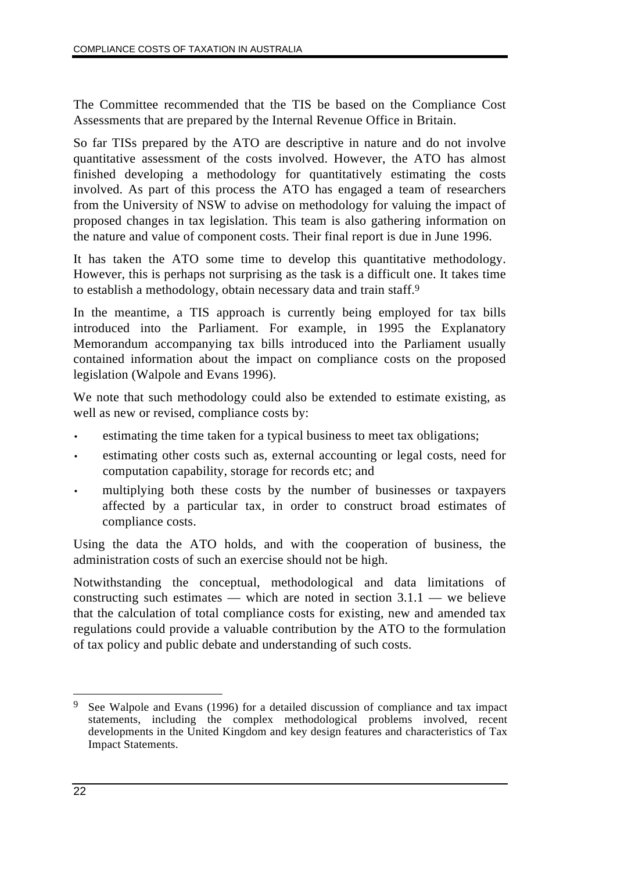The Committee recommended that the TIS be based on the Compliance Cost Assessments that are prepared by the Internal Revenue Office in Britain.

So far TISs prepared by the ATO are descriptive in nature and do not involve quantitative assessment of the costs involved. However, the ATO has almost finished developing a methodology for quantitatively estimating the costs involved. As part of this process the ATO has engaged a team of researchers from the University of NSW to advise on methodology for valuing the impact of proposed changes in tax legislation. This team is also gathering information on the nature and value of component costs. Their final report is due in June 1996.

It has taken the ATO some time to develop this quantitative methodology. However, this is perhaps not surprising as the task is a difficult one. It takes time to establish a methodology, obtain necessary data and train staff.9

In the meantime, a TIS approach is currently being employed for tax bills introduced into the Parliament. For example, in 1995 the Explanatory Memorandum accompanying tax bills introduced into the Parliament usually contained information about the impact on compliance costs on the proposed legislation (Walpole and Evans 1996).

We note that such methodology could also be extended to estimate existing, as well as new or revised, compliance costs by:

- estimating the time taken for a typical business to meet tax obligations;
- estimating other costs such as, external accounting or legal costs, need for computation capability, storage for records etc; and
- multiplying both these costs by the number of businesses or taxpayers affected by a particular tax, in order to construct broad estimates of compliance costs.

Using the data the ATO holds, and with the cooperation of business, the administration costs of such an exercise should not be high.

Notwithstanding the conceptual, methodological and data limitations of constructing such estimates — which are noted in section  $3.1.1$  — we believe that the calculation of total compliance costs for existing, new and amended tax regulations could provide a valuable contribution by the ATO to the formulation of tax policy and public debate and understanding of such costs.

 $\overline{a}$ 9 See Walpole and Evans (1996) for a detailed discussion of compliance and tax impact statements, including the complex methodological problems involved, recent developments in the United Kingdom and key design features and characteristics of Tax Impact Statements.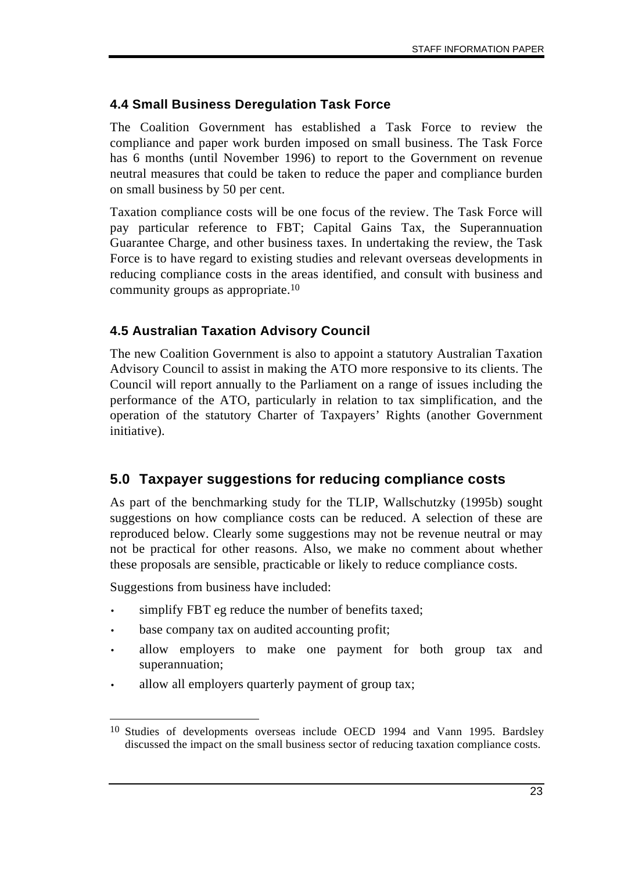## **4.4 Small Business Deregulation Task Force**

The Coalition Government has established a Task Force to review the compliance and paper work burden imposed on small business. The Task Force has 6 months (until November 1996) to report to the Government on revenue neutral measures that could be taken to reduce the paper and compliance burden on small business by 50 per cent.

Taxation compliance costs will be one focus of the review. The Task Force will pay particular reference to FBT; Capital Gains Tax, the Superannuation Guarantee Charge, and other business taxes. In undertaking the review, the Task Force is to have regard to existing studies and relevant overseas developments in reducing compliance costs in the areas identified, and consult with business and community groups as appropriate.10

### **4.5 Australian Taxation Advisory Council**

The new Coalition Government is also to appoint a statutory Australian Taxation Advisory Council to assist in making the ATO more responsive to its clients. The Council will report annually to the Parliament on a range of issues including the performance of the ATO, particularly in relation to tax simplification, and the operation of the statutory Charter of Taxpayers' Rights (another Government initiative).

## **5.0 Taxpayer suggestions for reducing compliance costs**

As part of the benchmarking study for the TLIP, Wallschutzky (1995b) sought suggestions on how compliance costs can be reduced. A selection of these are reproduced below. Clearly some suggestions may not be revenue neutral or may not be practical for other reasons. Also, we make no comment about whether these proposals are sensible, practicable or likely to reduce compliance costs.

Suggestions from business have included:

- simplify FBT eg reduce the number of benefits taxed;
- base company tax on audited accounting profit;
- allow employers to make one payment for both group tax and superannuation;
- allow all employers quarterly payment of group tax;

 $\overline{a}$ 10 Studies of developments overseas include OECD 1994 and Vann 1995. Bardsley discussed the impact on the small business sector of reducing taxation compliance costs.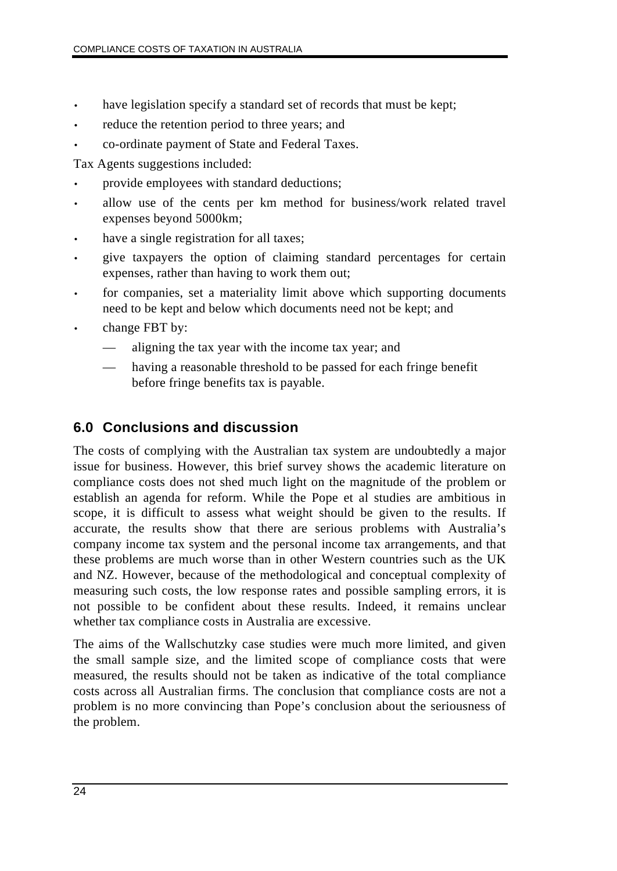- have legislation specify a standard set of records that must be kept;
- reduce the retention period to three years; and
- co-ordinate payment of State and Federal Taxes.

Tax Agents suggestions included:

- provide employees with standard deductions;
- allow use of the cents per km method for business/work related travel expenses beyond 5000km;
- have a single registration for all taxes;
- give taxpayers the option of claiming standard percentages for certain expenses, rather than having to work them out;
- for companies, set a materiality limit above which supporting documents need to be kept and below which documents need not be kept; and
- change FBT by:
	- aligning the tax year with the income tax year; and
	- having a reasonable threshold to be passed for each fringe benefit before fringe benefits tax is payable.

# **6.0 Conclusions and discussion**

The costs of complying with the Australian tax system are undoubtedly a major issue for business. However, this brief survey shows the academic literature on compliance costs does not shed much light on the magnitude of the problem or establish an agenda for reform. While the Pope et al studies are ambitious in scope, it is difficult to assess what weight should be given to the results. If accurate, the results show that there are serious problems with Australia's company income tax system and the personal income tax arrangements, and that these problems are much worse than in other Western countries such as the UK and NZ. However, because of the methodological and conceptual complexity of measuring such costs, the low response rates and possible sampling errors, it is not possible to be confident about these results. Indeed, it remains unclear whether tax compliance costs in Australia are excessive.

The aims of the Wallschutzky case studies were much more limited, and given the small sample size, and the limited scope of compliance costs that were measured, the results should not be taken as indicative of the total compliance costs across all Australian firms. The conclusion that compliance costs are not a problem is no more convincing than Pope's conclusion about the seriousness of the problem.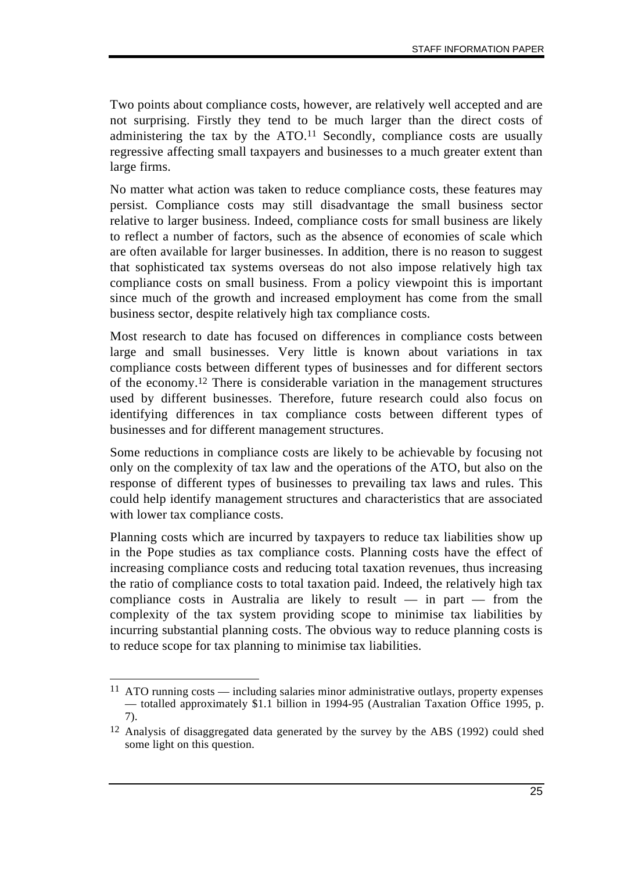Two points about compliance costs, however, are relatively well accepted and are not surprising. Firstly they tend to be much larger than the direct costs of administering the tax by the ATO.<sup>11</sup> Secondly, compliance costs are usually regressive affecting small taxpayers and businesses to a much greater extent than large firms.

No matter what action was taken to reduce compliance costs, these features may persist. Compliance costs may still disadvantage the small business sector relative to larger business. Indeed, compliance costs for small business are likely to reflect a number of factors, such as the absence of economies of scale which are often available for larger businesses. In addition, there is no reason to suggest that sophisticated tax systems overseas do not also impose relatively high tax compliance costs on small business. From a policy viewpoint this is important since much of the growth and increased employment has come from the small business sector, despite relatively high tax compliance costs.

Most research to date has focused on differences in compliance costs between large and small businesses. Very little is known about variations in tax compliance costs between different types of businesses and for different sectors of the economy.12 There is considerable variation in the management structures used by different businesses. Therefore, future research could also focus on identifying differences in tax compliance costs between different types of businesses and for different management structures.

Some reductions in compliance costs are likely to be achievable by focusing not only on the complexity of tax law and the operations of the ATO, but also on the response of different types of businesses to prevailing tax laws and rules. This could help identify management structures and characteristics that are associated with lower tax compliance costs.

Planning costs which are incurred by taxpayers to reduce tax liabilities show up in the Pope studies as tax compliance costs. Planning costs have the effect of increasing compliance costs and reducing total taxation revenues, thus increasing the ratio of compliance costs to total taxation paid. Indeed, the relatively high tax compliance costs in Australia are likely to result  $-$  in part  $-$  from the complexity of the tax system providing scope to minimise tax liabilities by incurring substantial planning costs. The obvious way to reduce planning costs is to reduce scope for tax planning to minimise tax liabilities.

 $\overline{a}$ 11 ATO running costs — including salaries minor administrative outlays, property expenses — totalled approximately \$1.1 billion in 1994-95 (Australian Taxation Office 1995, p. 7).

<sup>12</sup> Analysis of disaggregated data generated by the survey by the ABS (1992) could shed some light on this question.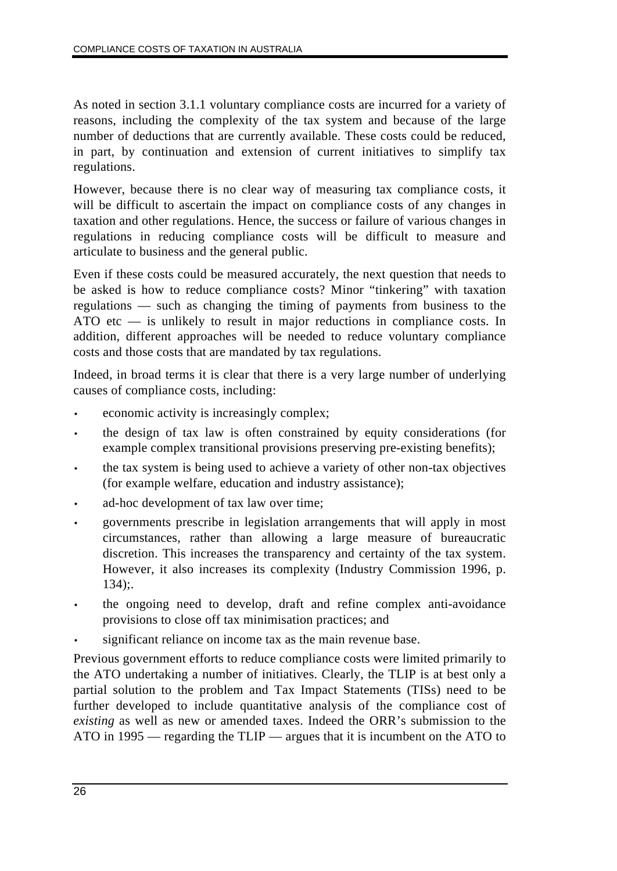As noted in section 3.1.1 voluntary compliance costs are incurred for a variety of reasons, including the complexity of the tax system and because of the large number of deductions that are currently available. These costs could be reduced, in part, by continuation and extension of current initiatives to simplify tax regulations.

However, because there is no clear way of measuring tax compliance costs, it will be difficult to ascertain the impact on compliance costs of any changes in taxation and other regulations. Hence, the success or failure of various changes in regulations in reducing compliance costs will be difficult to measure and articulate to business and the general public.

Even if these costs could be measured accurately, the next question that needs to be asked is how to reduce compliance costs? Minor "tinkering" with taxation regulations — such as changing the timing of payments from business to the ATO etc — is unlikely to result in major reductions in compliance costs. In addition, different approaches will be needed to reduce voluntary compliance costs and those costs that are mandated by tax regulations.

Indeed, in broad terms it is clear that there is a very large number of underlying causes of compliance costs, including:

- economic activity is increasingly complex;
- the design of tax law is often constrained by equity considerations (for example complex transitional provisions preserving pre-existing benefits);
- the tax system is being used to achieve a variety of other non-tax objectives (for example welfare, education and industry assistance);
- ad-hoc development of tax law over time;
- governments prescribe in legislation arrangements that will apply in most circumstances, rather than allowing a large measure of bureaucratic discretion. This increases the transparency and certainty of the tax system. However, it also increases its complexity (Industry Commission 1996, p. 134);.
- the ongoing need to develop, draft and refine complex anti-avoidance provisions to close off tax minimisation practices; and
- significant reliance on income tax as the main revenue base.

Previous government efforts to reduce compliance costs were limited primarily to the ATO undertaking a number of initiatives. Clearly, the TLIP is at best only a partial solution to the problem and Tax Impact Statements (TISs) need to be further developed to include quantitative analysis of the compliance cost of *existing* as well as new or amended taxes. Indeed the ORR's submission to the ATO in 1995 — regarding the TLIP — argues that it is incumbent on the ATO to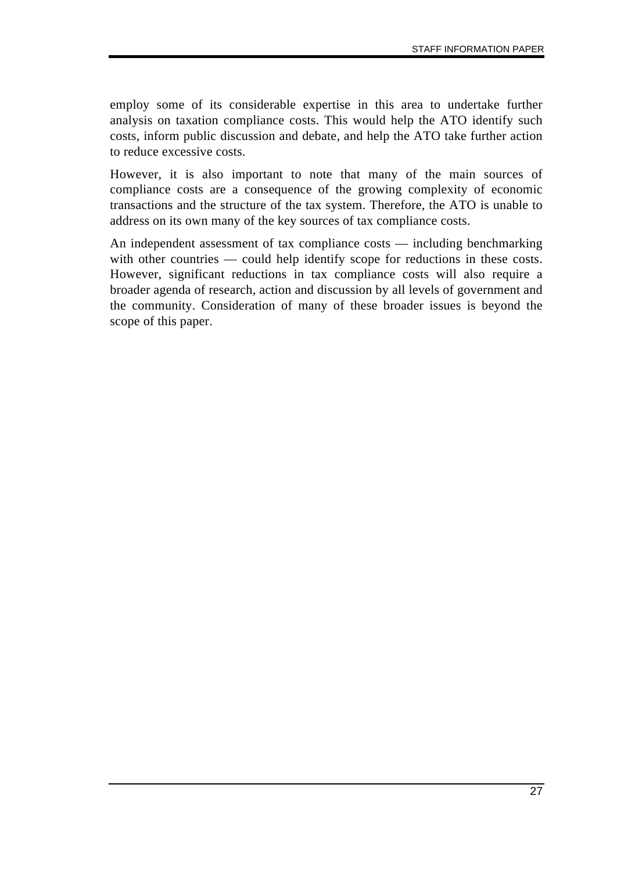employ some of its considerable expertise in this area to undertake further analysis on taxation compliance costs. This would help the ATO identify such costs, inform public discussion and debate, and help the ATO take further action to reduce excessive costs.

However, it is also important to note that many of the main sources of compliance costs are a consequence of the growing complexity of economic transactions and the structure of the tax system. Therefore, the ATO is unable to address on its own many of the key sources of tax compliance costs.

An independent assessment of tax compliance costs — including benchmarking with other countries — could help identify scope for reductions in these costs. However, significant reductions in tax compliance costs will also require a broader agenda of research, action and discussion by all levels of government and the community. Consideration of many of these broader issues is beyond the scope of this paper.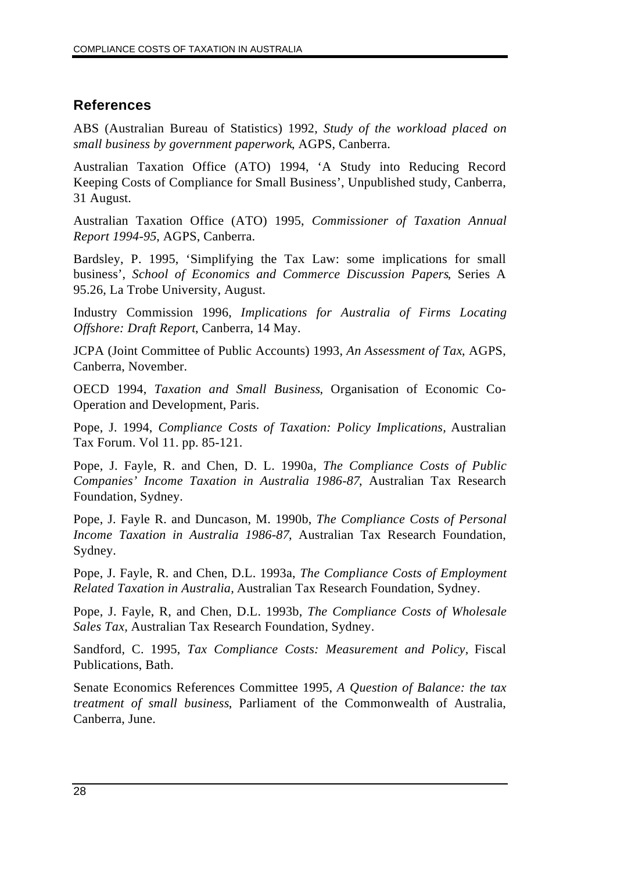# **References**

ABS (Australian Bureau of Statistics) 1992, *Study of the workload placed on small business by government paperwork*, AGPS, Canberra.

Australian Taxation Office (ATO) 1994, 'A Study into Reducing Record Keeping Costs of Compliance for Small Business', Unpublished study, Canberra, 31 August.

Australian Taxation Office (ATO) 1995, *Commissioner of Taxation Annual Report 1994-95*, AGPS, Canberra.

Bardsley, P. 1995, 'Simplifying the Tax Law: some implications for small business', *School of Economics and Commerce Discussion Papers*, Series A 95.26, La Trobe University, August.

Industry Commission 1996, *Implications for Australia of Firms Locating Offshore: Draft Report*, Canberra, 14 May.

JCPA (Joint Committee of Public Accounts) 1993, *An Assessment of Tax*, AGPS, Canberra, November.

OECD 1994, *Taxation and Small Business*, Organisation of Economic Co-Operation and Development, Paris.

Pope, J. 1994, *Compliance Costs of Taxation: Policy Implications,* Australian Tax Forum. Vol 11. pp. 85-121.

Pope, J. Fayle, R. and Chen, D. L. 1990a, *The Compliance Costs of Public Companies' Income Taxation in Australia 1986-87*, Australian Tax Research Foundation, Sydney.

Pope, J. Fayle R. and Duncason, M. 1990b, *The Compliance Costs of Personal Income Taxation in Australia 1986-87*, Australian Tax Research Foundation, Sydney.

Pope, J. Fayle, R. and Chen, D.L. 1993a, *The Compliance Costs of Employment Related Taxation in Australia,* Australian Tax Research Foundation, Sydney.

Pope, J. Fayle, R, and Chen, D.L. 1993b, *The Compliance Costs of Wholesale Sales Tax,* Australian Tax Research Foundation, Sydney.

Sandford, C. 1995, *Tax Compliance Costs: Measurement and Policy,* Fiscal Publications, Bath.

Senate Economics References Committee 1995, *A Question of Balance: the tax treatment of small business*, Parliament of the Commonwealth of Australia, Canberra, June.